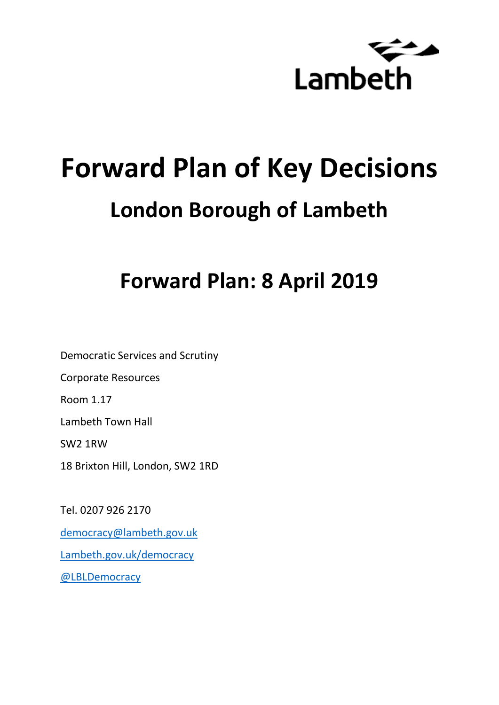

# **Forward Plan of Key Decisions London Borough of Lambeth**

# **Forward Plan: 8 April 2019**

Democratic Services and Scrutiny Corporate Resources Room 1.17 Lambeth Town Hall SW2 1RW 18 Brixton Hill, London, SW2 1RD

Tel. 0207 926 2170 [democracy@lambeth.gov.uk](mailto:democracy@lambeth.gov.uk) [Lambeth.gov.uk/democracy](https://www.lambeth.gov.uk/elections-and-council/meetings-minutes-and-agendas/getting-involved-in-decision-making-guide) [@LBLDemocracy](https://twitter.com/LBLDemocracy?lang=en)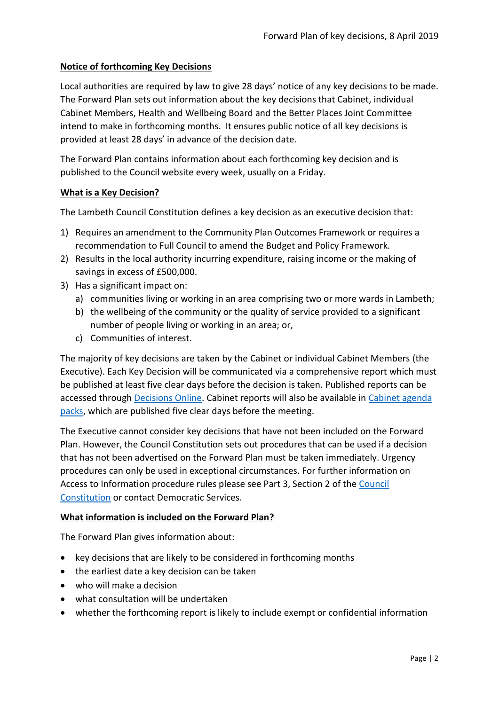# **Notice of forthcoming Key Decisions**

Local authorities are required by law to give 28 days' notice of any key decisions to be made. The Forward Plan sets out information about the key decisions that Cabinet, individual Cabinet Members, Health and Wellbeing Board and the Better Places Joint Committee intend to make in forthcoming months. It ensures public notice of all key decisions is provided at least 28 days' in advance of the decision date.

The Forward Plan contains information about each forthcoming key decision and is published to the Council website every week, usually on a Friday.

#### **What is a Key Decision?**

The Lambeth Council Constitution defines a key decision as an executive decision that:

- 1) Requires an amendment to the Community Plan Outcomes Framework or requires a recommendation to Full Council to amend the Budget and Policy Framework.
- 2) Results in the local authority incurring expenditure, raising income or the making of savings in excess of £500,000.
- 3) Has a significant impact on:
	- a) communities living or working in an area comprising two or more wards in Lambeth;
	- b) the wellbeing of the community or the quality of service provided to a significant number of people living or working in an area; or,
	- c) Communities of interest.

The majority of key decisions are taken by the Cabinet or individual Cabinet Members (the Executive). Each Key Decision will be communicated via a comprehensive report which must be published at least five clear days before the decision is taken. Published reports can be accessed through [Decisions Online.](http://moderngov.lambeth.gov.uk/mgDelegatedDecisions.aspx?bcr=1&DM=0&DS=2&K=0&DR=&V=0) Cabinet reports will also be available in [Cabinet agenda](https://moderngov.lambeth.gov.uk/ieListMeetings.aspx?CommitteeId=225)  [packs,](https://moderngov.lambeth.gov.uk/ieListMeetings.aspx?CommitteeId=225) which are published five clear days before the meeting.

The Executive cannot consider key decisions that have not been included on the Forward Plan. However, the Council Constitution sets out procedures that can be used if a decision that has not been advertised on the Forward Plan must be taken immediately. Urgency procedures can only be used in exceptional circumstances. For further information on Access to Information procedure rules please see Part 3, Section 2 of the [Council](http://moderngov.lambeth.gov.uk/ieListMeetings.aspx?CId=738&info=1&MD=Constitution)  [Constitution](http://moderngov.lambeth.gov.uk/ieListMeetings.aspx?CId=738&info=1&MD=Constitution) or contact Democratic Services.

# **What information is included on the Forward Plan?**

The Forward Plan gives information about:

- key decisions that are likely to be considered in forthcoming months
- the earliest date a key decision can be taken
- who will make a decision
- what consultation will be undertaken
- whether the forthcoming report is likely to include exempt or confidential information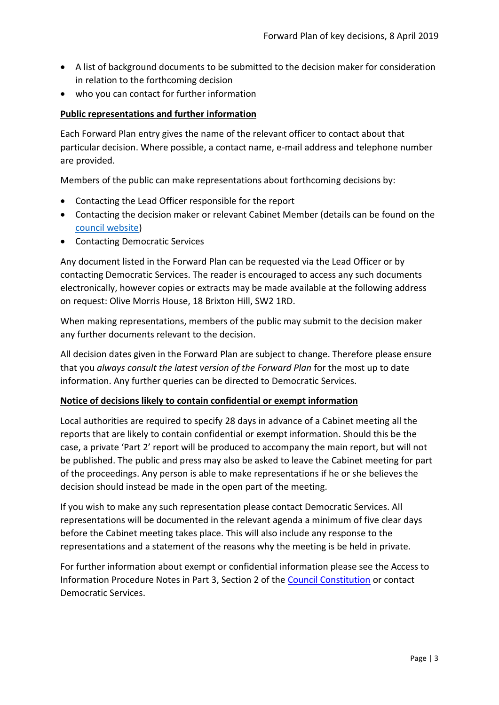- A list of background documents to be submitted to the decision maker for consideration in relation to the forthcoming decision
- who you can contact for further information

#### **Public representations and further information**

Each Forward Plan entry gives the name of the relevant officer to contact about that particular decision. Where possible, a contact name, e-mail address and telephone number are provided.

Members of the public can make representations about forthcoming decisions by:

- Contacting the Lead Officer responsible for the report
- Contacting the decision maker or relevant Cabinet Member (details can be found on the [council website\)](http://moderngov.lambeth.gov.uk/mgMemberIndex.aspx?bcr=1)
- Contacting Democratic Services

Any document listed in the Forward Plan can be requested via the Lead Officer or by contacting Democratic Services. The reader is encouraged to access any such documents electronically, however copies or extracts may be made available at the following address on request: Olive Morris House, 18 Brixton Hill, SW2 1RD.

When making representations, members of the public may submit to the decision maker any further documents relevant to the decision.

All decision dates given in the Forward Plan are subject to change. Therefore please ensure that you *always consult the latest version of the Forward Plan* for the most up to date information. Any further queries can be directed to Democratic Services.

#### **Notice of decisions likely to contain confidential or exempt information**

Local authorities are required to specify 28 days in advance of a Cabinet meeting all the reports that are likely to contain confidential or exempt information. Should this be the case, a private 'Part 2' report will be produced to accompany the main report, but will not be published. The public and press may also be asked to leave the Cabinet meeting for part of the proceedings. Any person is able to make representations if he or she believes the decision should instead be made in the open part of the meeting.

If you wish to make any such representation please contact Democratic Services. All representations will be documented in the relevant agenda a minimum of five clear days before the Cabinet meeting takes place. This will also include any response to the representations and a statement of the reasons why the meeting is be held in private.

For further information about exempt or confidential information please see the Access to Information Procedure Notes in Part 3, Section 2 of the [Council Constitution](http://www.lambeth.gov.uk/sites/default/files/ec-Council-Constitution-2014-15-approved-with-changes-November-2014.pdf) or contact Democratic Services.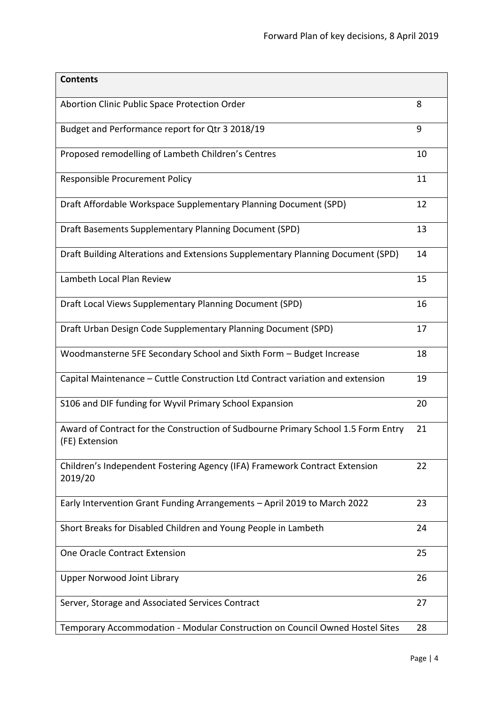| <b>Contents</b>                                                                                     |    |
|-----------------------------------------------------------------------------------------------------|----|
| Abortion Clinic Public Space Protection Order                                                       | 8  |
| Budget and Performance report for Qtr 3 2018/19                                                     | 9  |
| Proposed remodelling of Lambeth Children's Centres                                                  | 10 |
| Responsible Procurement Policy                                                                      | 11 |
| Draft Affordable Workspace Supplementary Planning Document (SPD)                                    | 12 |
| Draft Basements Supplementary Planning Document (SPD)                                               | 13 |
| Draft Building Alterations and Extensions Supplementary Planning Document (SPD)                     | 14 |
| Lambeth Local Plan Review                                                                           | 15 |
| Draft Local Views Supplementary Planning Document (SPD)                                             | 16 |
| Draft Urban Design Code Supplementary Planning Document (SPD)                                       | 17 |
| Woodmansterne 5FE Secondary School and Sixth Form - Budget Increase                                 | 18 |
| Capital Maintenance - Cuttle Construction Ltd Contract variation and extension                      | 19 |
| S106 and DIF funding for Wyvil Primary School Expansion                                             | 20 |
| Award of Contract for the Construction of Sudbourne Primary School 1.5 Form Entry<br>(FE) Extension | 21 |
| Children's Independent Fostering Agency (IFA) Framework Contract Extension<br>2019/20               | 22 |
| Early Intervention Grant Funding Arrangements - April 2019 to March 2022                            | 23 |
| Short Breaks for Disabled Children and Young People in Lambeth                                      | 24 |
| One Oracle Contract Extension                                                                       | 25 |
| <b>Upper Norwood Joint Library</b>                                                                  | 26 |
| Server, Storage and Associated Services Contract                                                    | 27 |
| Temporary Accommodation - Modular Construction on Council Owned Hostel Sites                        | 28 |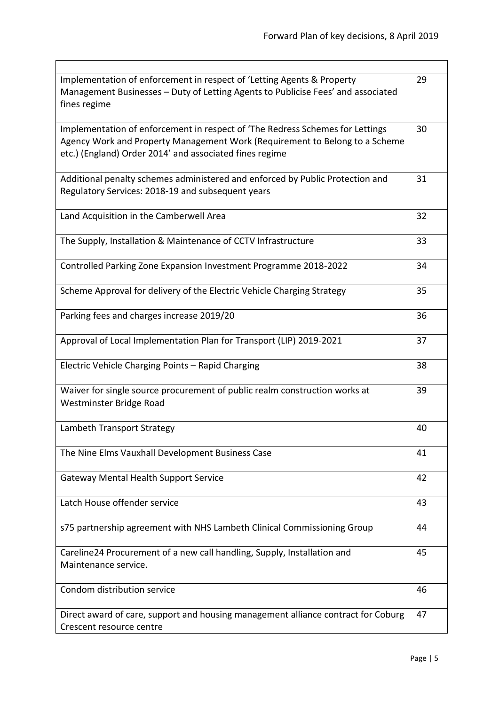| Implementation of enforcement in respect of 'Letting Agents & Property<br>Management Businesses - Duty of Letting Agents to Publicise Fees' and associated<br>fines regime                                              | 29 |
|-------------------------------------------------------------------------------------------------------------------------------------------------------------------------------------------------------------------------|----|
| Implementation of enforcement in respect of 'The Redress Schemes for Lettings<br>Agency Work and Property Management Work (Requirement to Belong to a Scheme<br>etc.) (England) Order 2014' and associated fines regime | 30 |
| Additional penalty schemes administered and enforced by Public Protection and<br>Regulatory Services: 2018-19 and subsequent years                                                                                      | 31 |
| Land Acquisition in the Camberwell Area                                                                                                                                                                                 | 32 |
| The Supply, Installation & Maintenance of CCTV Infrastructure                                                                                                                                                           | 33 |
| Controlled Parking Zone Expansion Investment Programme 2018-2022                                                                                                                                                        | 34 |
| Scheme Approval for delivery of the Electric Vehicle Charging Strategy                                                                                                                                                  | 35 |
| Parking fees and charges increase 2019/20                                                                                                                                                                               | 36 |
| Approval of Local Implementation Plan for Transport (LIP) 2019-2021                                                                                                                                                     | 37 |
| Electric Vehicle Charging Points - Rapid Charging                                                                                                                                                                       | 38 |
| Waiver for single source procurement of public realm construction works at<br>Westminster Bridge Road                                                                                                                   | 39 |
| Lambeth Transport Strategy                                                                                                                                                                                              | 40 |
| The Nine Elms Vauxhall Development Business Case                                                                                                                                                                        | 41 |
| <b>Gateway Mental Health Support Service</b>                                                                                                                                                                            | 42 |
| Latch House offender service                                                                                                                                                                                            | 43 |
| s75 partnership agreement with NHS Lambeth Clinical Commissioning Group                                                                                                                                                 | 44 |
| Careline24 Procurement of a new call handling, Supply, Installation and<br>Maintenance service.                                                                                                                         | 45 |
| Condom distribution service                                                                                                                                                                                             | 46 |
| Direct award of care, support and housing management alliance contract for Coburg<br>Crescent resource centre                                                                                                           | 47 |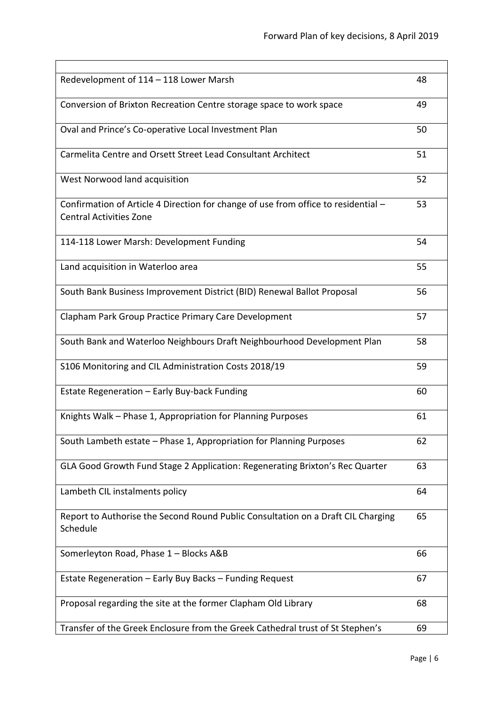÷

| Redevelopment of 114 - 118 Lower Marsh                                                                               | 48 |
|----------------------------------------------------------------------------------------------------------------------|----|
| Conversion of Brixton Recreation Centre storage space to work space                                                  | 49 |
| Oval and Prince's Co-operative Local Investment Plan                                                                 | 50 |
| Carmelita Centre and Orsett Street Lead Consultant Architect                                                         | 51 |
| West Norwood land acquisition                                                                                        | 52 |
| Confirmation of Article 4 Direction for change of use from office to residential -<br><b>Central Activities Zone</b> | 53 |
| 114-118 Lower Marsh: Development Funding                                                                             | 54 |
| Land acquisition in Waterloo area                                                                                    | 55 |
| South Bank Business Improvement District (BID) Renewal Ballot Proposal                                               | 56 |
| Clapham Park Group Practice Primary Care Development                                                                 | 57 |
| South Bank and Waterloo Neighbours Draft Neighbourhood Development Plan                                              | 58 |
| S106 Monitoring and CIL Administration Costs 2018/19                                                                 | 59 |
| Estate Regeneration - Early Buy-back Funding                                                                         | 60 |
| Knights Walk - Phase 1, Appropriation for Planning Purposes                                                          | 61 |
| South Lambeth estate - Phase 1, Appropriation for Planning Purposes                                                  | 62 |
| GLA Good Growth Fund Stage 2 Application: Regenerating Brixton's Rec Quarter                                         | 63 |
| Lambeth CIL instalments policy                                                                                       | 64 |
| Report to Authorise the Second Round Public Consultation on a Draft CIL Charging<br>Schedule                         | 65 |
| Somerleyton Road, Phase 1 - Blocks A&B                                                                               | 66 |
| Estate Regeneration - Early Buy Backs - Funding Request                                                              | 67 |
| Proposal regarding the site at the former Clapham Old Library                                                        | 68 |
| Transfer of the Greek Enclosure from the Greek Cathedral trust of St Stephen's                                       | 69 |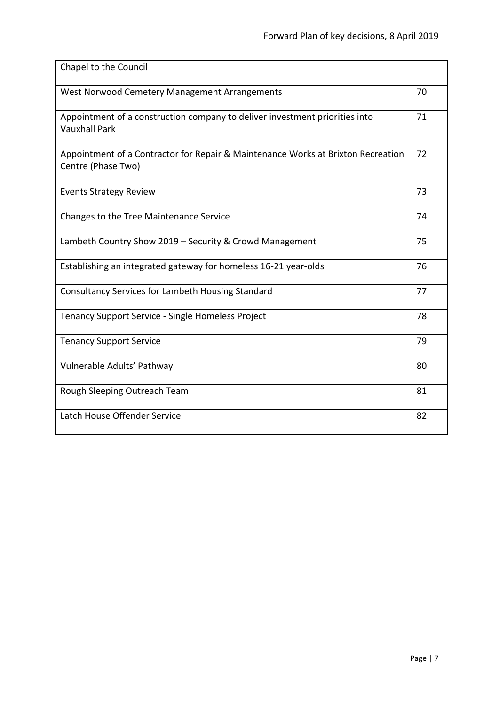| Chapel to the Council                                                                                  |    |
|--------------------------------------------------------------------------------------------------------|----|
| West Norwood Cemetery Management Arrangements                                                          | 70 |
| Appointment of a construction company to deliver investment priorities into<br><b>Vauxhall Park</b>    | 71 |
| Appointment of a Contractor for Repair & Maintenance Works at Brixton Recreation<br>Centre (Phase Two) | 72 |
| <b>Events Strategy Review</b>                                                                          | 73 |
| Changes to the Tree Maintenance Service                                                                | 74 |
| Lambeth Country Show 2019 - Security & Crowd Management                                                | 75 |
| Establishing an integrated gateway for homeless 16-21 year-olds                                        | 76 |
| Consultancy Services for Lambeth Housing Standard                                                      | 77 |
| Tenancy Support Service - Single Homeless Project                                                      | 78 |
| <b>Tenancy Support Service</b>                                                                         | 79 |
| Vulnerable Adults' Pathway                                                                             | 80 |
| Rough Sleeping Outreach Team                                                                           | 81 |
| Latch House Offender Service                                                                           | 82 |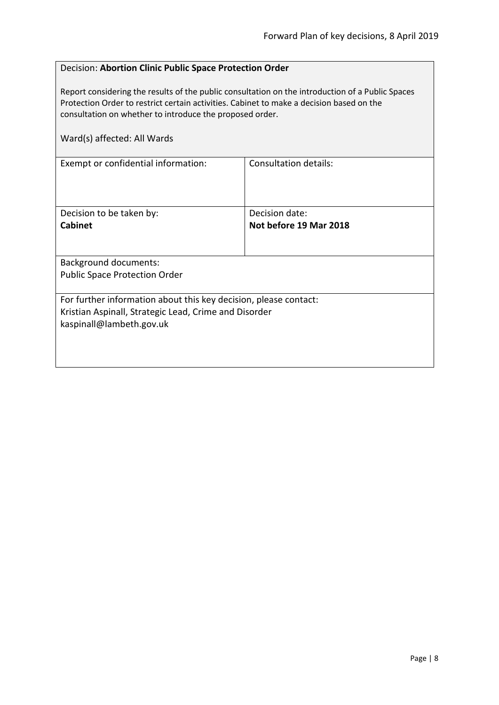# <span id="page-7-0"></span>Decision: **Abortion Clinic Public Space Protection Order**

Report considering the results of the public consultation on the introduction of a Public Spaces Protection Order to restrict certain activities. Cabinet to make a decision based on the consultation on whether to introduce the proposed order.

| Ward(s) affected: All Wards                                      |                        |
|------------------------------------------------------------------|------------------------|
| Exempt or confidential information:                              | Consultation details:  |
| Decision to be taken by:                                         | Decision date:         |
| <b>Cabinet</b>                                                   | Not before 19 Mar 2018 |
|                                                                  |                        |
| <b>Background documents:</b>                                     |                        |
| <b>Public Space Protection Order</b>                             |                        |
| For further information about this key decision, please contact: |                        |
| Kristian Aspinall, Strategic Lead, Crime and Disorder            |                        |
| kaspinall@lambeth.gov.uk                                         |                        |
|                                                                  |                        |
|                                                                  |                        |
|                                                                  |                        |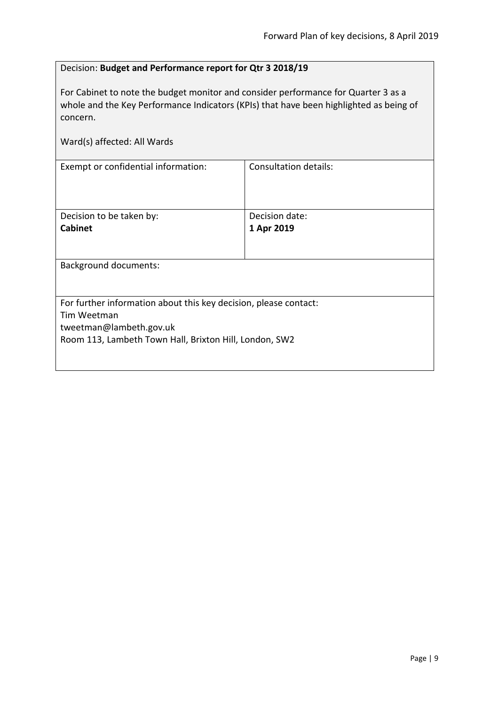# <span id="page-8-0"></span>Decision: **Budget and Performance report for Qtr 3 2018/19**

For Cabinet to note the budget monitor and consider performance for Quarter 3 as a whole and the Key Performance Indicators (KPIs) that have been highlighted as being of concern.

| Ward(s) affected: All Wards                                      |                       |  |
|------------------------------------------------------------------|-----------------------|--|
| Exempt or confidential information:                              | Consultation details: |  |
| Decision to be taken by:                                         | Decision date:        |  |
| <b>Cabinet</b>                                                   | 1 Apr 2019            |  |
| <b>Background documents:</b>                                     |                       |  |
| For further information about this key decision, please contact: |                       |  |
| Tim Weetman                                                      |                       |  |
| tweetman@lambeth.gov.uk                                          |                       |  |
| Room 113, Lambeth Town Hall, Brixton Hill, London, SW2           |                       |  |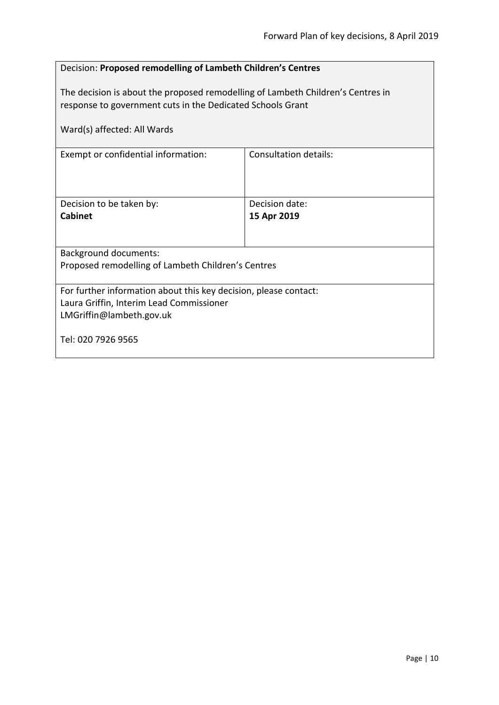<span id="page-9-0"></span>

| Decision: Proposed remodelling of Lambeth Children's Centres                                                                                  |                               |  |
|-----------------------------------------------------------------------------------------------------------------------------------------------|-------------------------------|--|
| The decision is about the proposed remodelling of Lambeth Children's Centres in<br>response to government cuts in the Dedicated Schools Grant |                               |  |
| Ward(s) affected: All Wards                                                                                                                   |                               |  |
| Exempt or confidential information:                                                                                                           | <b>Consultation details:</b>  |  |
| Decision to be taken by:<br><b>Cabinet</b>                                                                                                    | Decision date:<br>15 Apr 2019 |  |
| <b>Background documents:</b>                                                                                                                  |                               |  |
| Proposed remodelling of Lambeth Children's Centres                                                                                            |                               |  |
| For further information about this key decision, please contact:<br>Laura Griffin, Interim Lead Commissioner<br>LMGriffin@lambeth.gov.uk      |                               |  |
| Tel: 020 7926 9565                                                                                                                            |                               |  |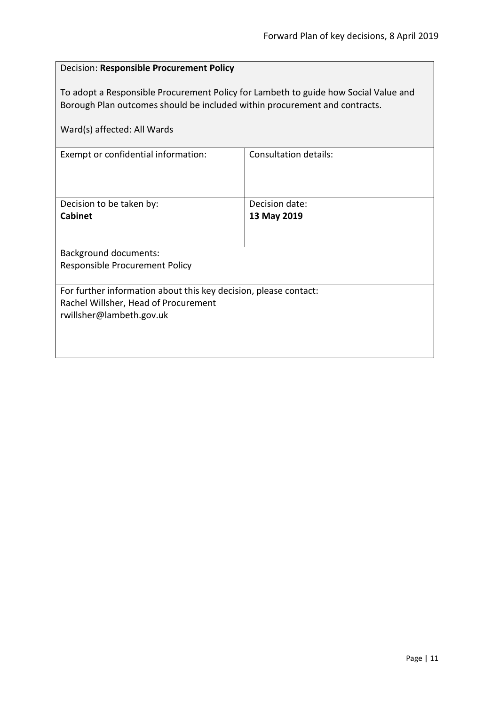# <span id="page-10-0"></span>Decision: **Responsible Procurement Policy**

To adopt a Responsible Procurement Policy for Lambeth to guide how Social Value and Borough Plan outcomes should be included within procurement and contracts.

| Ward(s) affected: All Wards                                      |                              |  |
|------------------------------------------------------------------|------------------------------|--|
| Exempt or confidential information:                              | <b>Consultation details:</b> |  |
| Decision to be taken by:                                         | Decision date:               |  |
| <b>Cabinet</b>                                                   | 13 May 2019                  |  |
|                                                                  |                              |  |
| <b>Background documents:</b>                                     |                              |  |
| Responsible Procurement Policy                                   |                              |  |
| For further information about this key decision, please contact: |                              |  |
| Rachel Willsher, Head of Procurement                             |                              |  |
| rwillsher@lambeth.gov.uk                                         |                              |  |
|                                                                  |                              |  |
|                                                                  |                              |  |
|                                                                  |                              |  |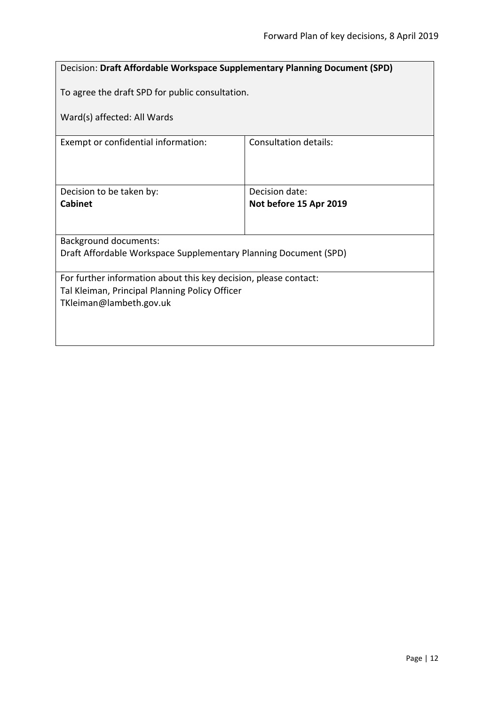<span id="page-11-0"></span>

| <b>Decision: Draft Affordable Workspace Supplementary Planning Document (SPD)</b> |                              |  |
|-----------------------------------------------------------------------------------|------------------------------|--|
| To agree the draft SPD for public consultation.                                   |                              |  |
| Ward(s) affected: All Wards                                                       |                              |  |
| Exempt or confidential information:                                               | <b>Consultation details:</b> |  |
|                                                                                   |                              |  |
| Decision to be taken by:                                                          | Decision date:               |  |
| <b>Cabinet</b>                                                                    | Not before 15 Apr 2019       |  |
|                                                                                   |                              |  |
| <b>Background documents:</b>                                                      |                              |  |
| Draft Affordable Workspace Supplementary Planning Document (SPD)                  |                              |  |
| For further information about this key decision, please contact:                  |                              |  |
| Tal Kleiman, Principal Planning Policy Officer                                    |                              |  |
| TKleiman@lambeth.gov.uk                                                           |                              |  |
|                                                                                   |                              |  |
|                                                                                   |                              |  |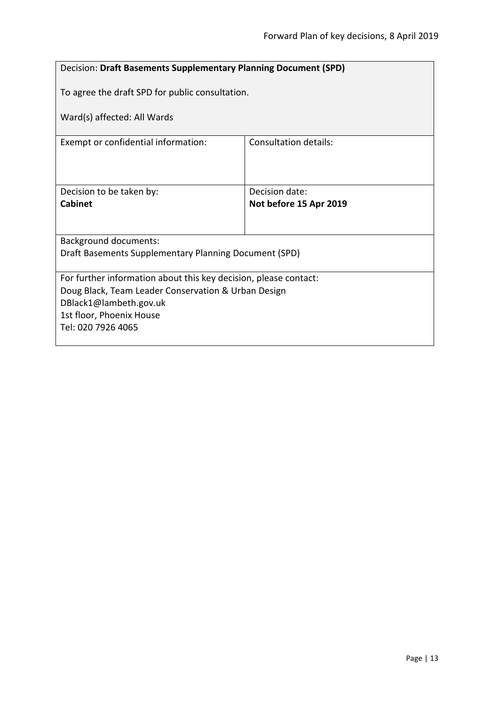<span id="page-12-0"></span>

| Decision: Draft Basements Supplementary Planning Document (SPD)  |                              |  |
|------------------------------------------------------------------|------------------------------|--|
| To agree the draft SPD for public consultation.                  |                              |  |
| Ward(s) affected: All Wards                                      |                              |  |
| Exempt or confidential information:                              | <b>Consultation details:</b> |  |
|                                                                  |                              |  |
| Decision to be taken by:                                         | Decision date:               |  |
| Cabinet                                                          | Not before 15 Apr 2019       |  |
|                                                                  |                              |  |
| <b>Background documents:</b>                                     |                              |  |
| Draft Basements Supplementary Planning Document (SPD)            |                              |  |
| For further information about this key decision, please contact: |                              |  |
| Doug Black, Team Leader Conservation & Urban Design              |                              |  |
| DBlack1@lambeth.gov.uk                                           |                              |  |
| 1st floor, Phoenix House<br>Tel: 020 7926 4065                   |                              |  |
|                                                                  |                              |  |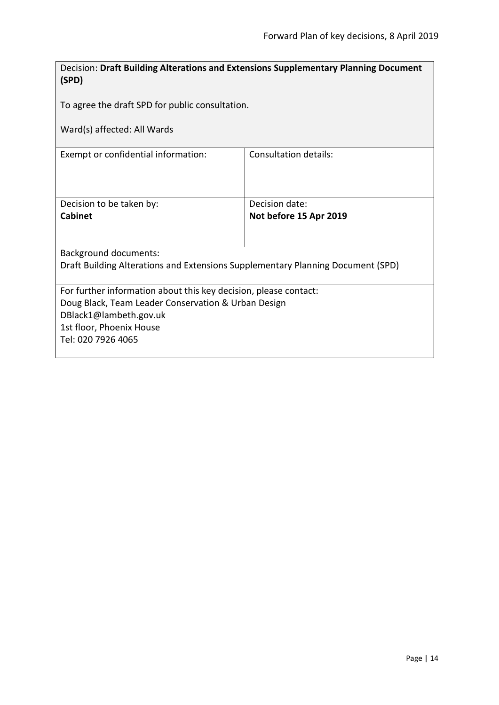<span id="page-13-0"></span>

| Decision: Draft Building Alterations and Extensions Supplementary Planning Document<br>(SPD)                                                                                                        |                                          |  |
|-----------------------------------------------------------------------------------------------------------------------------------------------------------------------------------------------------|------------------------------------------|--|
| To agree the draft SPD for public consultation.                                                                                                                                                     |                                          |  |
| Ward(s) affected: All Wards                                                                                                                                                                         |                                          |  |
| Exempt or confidential information:                                                                                                                                                                 | <b>Consultation details:</b>             |  |
| Decision to be taken by:<br><b>Cabinet</b>                                                                                                                                                          | Decision date:<br>Not before 15 Apr 2019 |  |
| <b>Background documents:</b><br>Draft Building Alterations and Extensions Supplementary Planning Document (SPD)                                                                                     |                                          |  |
| For further information about this key decision, please contact:<br>Doug Black, Team Leader Conservation & Urban Design<br>DBlack1@lambeth.gov.uk<br>1st floor, Phoenix House<br>Tel: 020 7926 4065 |                                          |  |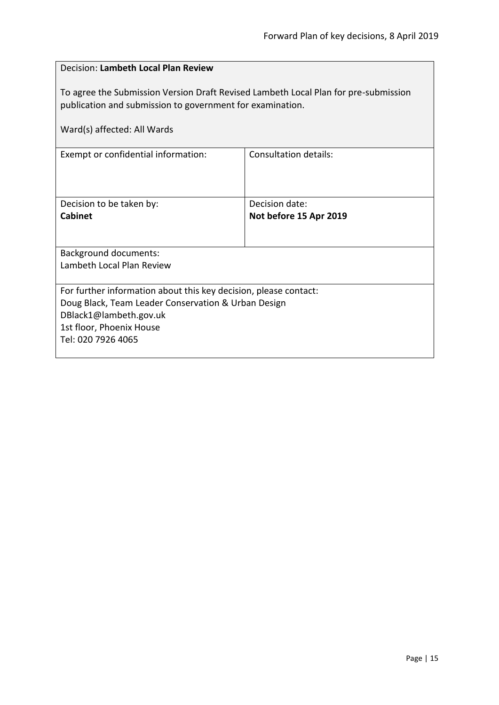<span id="page-14-0"></span>

| Decision: Lambeth Local Plan Review                                                                                                                                                                 |                                          |  |
|-----------------------------------------------------------------------------------------------------------------------------------------------------------------------------------------------------|------------------------------------------|--|
| To agree the Submission Version Draft Revised Lambeth Local Plan for pre-submission<br>publication and submission to government for examination.<br>Ward(s) affected: All Wards                     |                                          |  |
| Exempt or confidential information:                                                                                                                                                                 | Consultation details:                    |  |
| Decision to be taken by:<br><b>Cabinet</b>                                                                                                                                                          | Decision date:<br>Not before 15 Apr 2019 |  |
| <b>Background documents:</b><br>Lambeth Local Plan Review                                                                                                                                           |                                          |  |
| For further information about this key decision, please contact:<br>Doug Black, Team Leader Conservation & Urban Design<br>DBlack1@lambeth.gov.uk<br>1st floor, Phoenix House<br>Tel: 020 7926 4065 |                                          |  |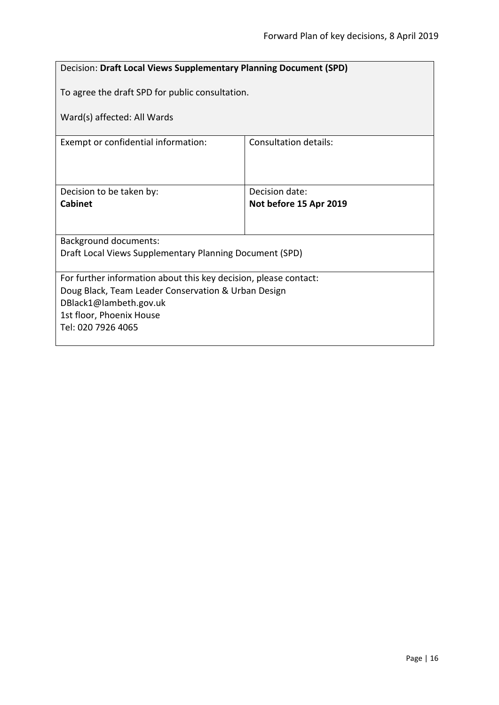<span id="page-15-0"></span>

| Decision: Draft Local Views Supplementary Planning Document (SPD) |                              |  |
|-------------------------------------------------------------------|------------------------------|--|
| To agree the draft SPD for public consultation.                   |                              |  |
| Ward(s) affected: All Wards                                       |                              |  |
| Exempt or confidential information:                               | <b>Consultation details:</b> |  |
|                                                                   |                              |  |
| Decision to be taken by:                                          | Decision date:               |  |
| Cabinet                                                           | Not before 15 Apr 2019       |  |
|                                                                   |                              |  |
| <b>Background documents:</b>                                      |                              |  |
| Draft Local Views Supplementary Planning Document (SPD)           |                              |  |
| For further information about this key decision, please contact:  |                              |  |
| Doug Black, Team Leader Conservation & Urban Design               |                              |  |
| DBlack1@lambeth.gov.uk                                            |                              |  |
| 1st floor, Phoenix House<br>Tel: 020 7926 4065                    |                              |  |
|                                                                   |                              |  |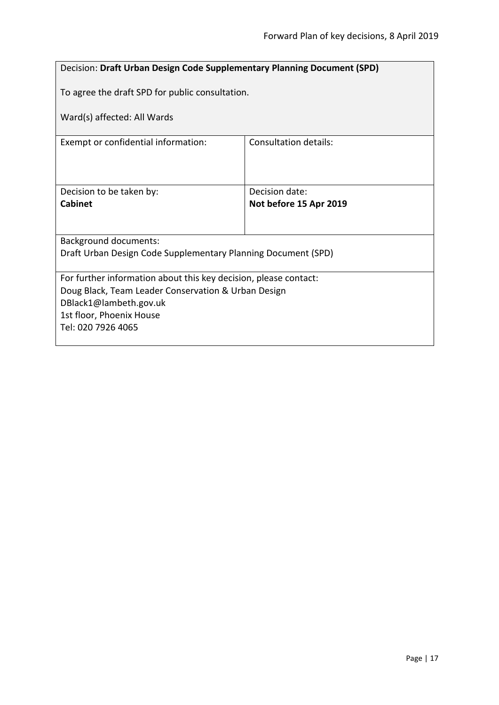<span id="page-16-0"></span>

| <b>Decision: Draft Urban Design Code Supplementary Planning Document (SPD)</b> |                        |  |
|--------------------------------------------------------------------------------|------------------------|--|
| To agree the draft SPD for public consultation.                                |                        |  |
| Ward(s) affected: All Wards                                                    |                        |  |
| Exempt or confidential information:                                            | Consultation details:  |  |
|                                                                                |                        |  |
| Decision to be taken by:                                                       | Decision date:         |  |
| Cabinet                                                                        | Not before 15 Apr 2019 |  |
|                                                                                |                        |  |
| <b>Background documents:</b>                                                   |                        |  |
| Draft Urban Design Code Supplementary Planning Document (SPD)                  |                        |  |
| For further information about this key decision, please contact:               |                        |  |
| Doug Black, Team Leader Conservation & Urban Design                            |                        |  |
| DBlack1@lambeth.gov.uk                                                         |                        |  |
| 1st floor, Phoenix House                                                       |                        |  |
| Tel: 020 7926 4065                                                             |                        |  |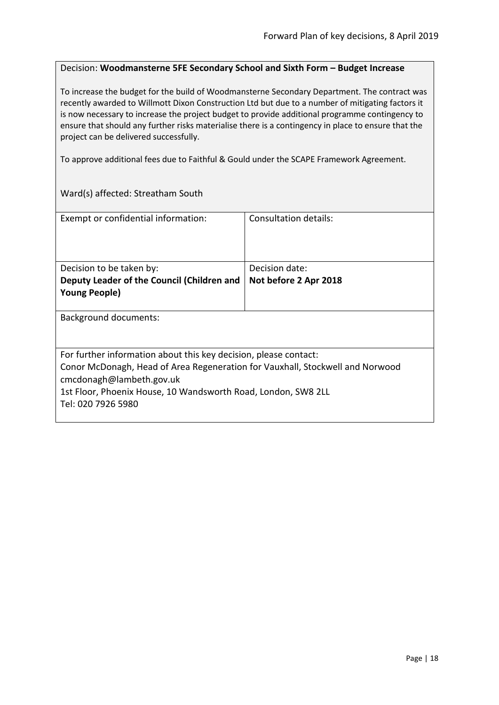#### <span id="page-17-0"></span>Decision: **Woodmansterne 5FE Secondary School and Sixth Form – Budget Increase**

To increase the budget for the build of Woodmansterne Secondary Department. The contract was recently awarded to Willmott Dixon Construction Ltd but due to a number of mitigating factors it is now necessary to increase the project budget to provide additional programme contingency to ensure that should any further risks materialise there is a contingency in place to ensure that the project can be delivered successfully.

To approve additional fees due to Faithful & Gould under the SCAPE Framework Agreement.

Ward(s) affected: Streatham South

| Exempt or confidential information:                                                                                                                                                                                                                                  | <b>Consultation details:</b> |
|----------------------------------------------------------------------------------------------------------------------------------------------------------------------------------------------------------------------------------------------------------------------|------------------------------|
| Decision to be taken by:                                                                                                                                                                                                                                             | Decision date:               |
| Deputy Leader of the Council (Children and<br><b>Young People)</b>                                                                                                                                                                                                   | Not before 2 Apr 2018        |
| <b>Background documents:</b>                                                                                                                                                                                                                                         |                              |
| For further information about this key decision, please contact:<br>Conor McDonagh, Head of Area Regeneration for Vauxhall, Stockwell and Norwood<br>cmcdonagh@lambeth.gov.uk<br>1st Floor, Phoenix House, 10 Wandsworth Road, London, SW8 2LL<br>Tel: 020 7926 5980 |                              |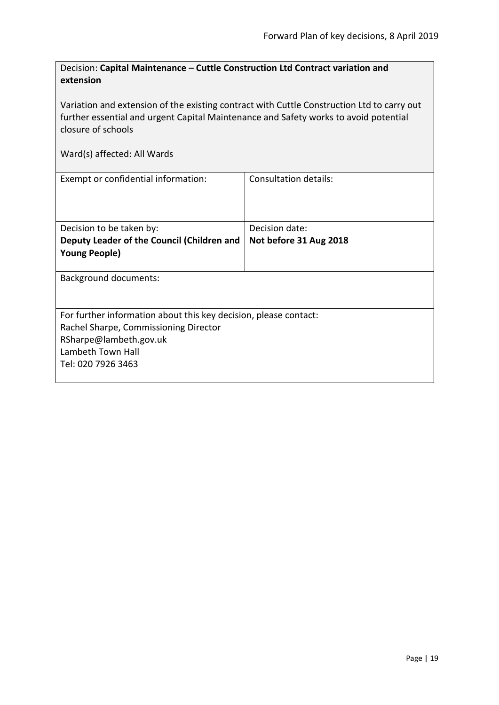<span id="page-18-0"></span>

| Decision: Capital Maintenance – Cuttle Construction Ltd Contract variation and |
|--------------------------------------------------------------------------------|
| extension                                                                      |

Variation and extension of the existing contract with Cuttle Construction Ltd to carry out further essential and urgent Capital Maintenance and Safety works to avoid potential closure of schools

| Exempt or confidential information:                              | Consultation details:  |
|------------------------------------------------------------------|------------------------|
|                                                                  |                        |
| Decision to be taken by:                                         | Decision date:         |
| Deputy Leader of the Council (Children and                       | Not before 31 Aug 2018 |
| <b>Young People)</b>                                             |                        |
| <b>Background documents:</b>                                     |                        |
| For further information about this key decision, please contact: |                        |
| Rachel Sharpe, Commissioning Director                            |                        |
| RSharpe@lambeth.gov.uk                                           |                        |
| Lambeth Town Hall                                                |                        |
| Tel: 020 7926 3463                                               |                        |
|                                                                  |                        |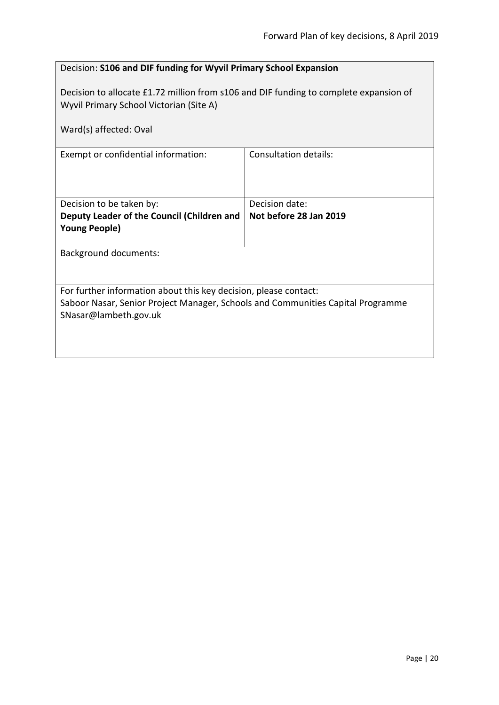<span id="page-19-0"></span>

|                                                                                                                                                                              | Decision: S106 and DIF funding for Wyvil Primary School Expansion |  |
|------------------------------------------------------------------------------------------------------------------------------------------------------------------------------|-------------------------------------------------------------------|--|
| Decision to allocate £1.72 million from s106 and DIF funding to complete expansion of<br>Wyvil Primary School Victorian (Site A)                                             |                                                                   |  |
| Ward(s) affected: Oval                                                                                                                                                       |                                                                   |  |
| Exempt or confidential information:                                                                                                                                          | <b>Consultation details:</b>                                      |  |
| Decision to be taken by:                                                                                                                                                     | Decision date:                                                    |  |
| Deputy Leader of the Council (Children and<br><b>Young People)</b>                                                                                                           | Not before 28 Jan 2019                                            |  |
| <b>Background documents:</b>                                                                                                                                                 |                                                                   |  |
| For further information about this key decision, please contact:<br>Saboor Nasar, Senior Project Manager, Schools and Communities Capital Programme<br>SNasar@lambeth.gov.uk |                                                                   |  |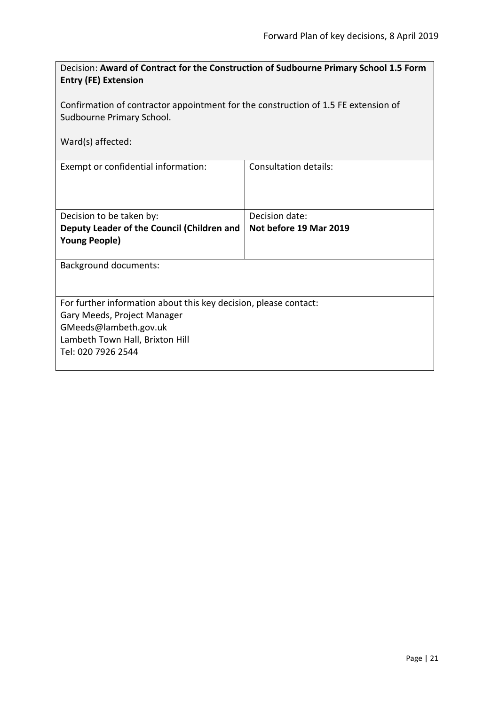<span id="page-20-0"></span>

| Decision: Award of Contract for the Construction of Sudbourne Primary School 1.5 Form<br><b>Entry (FE) Extension</b> |                              |  |
|----------------------------------------------------------------------------------------------------------------------|------------------------------|--|
| Confirmation of contractor appointment for the construction of 1.5 FE extension of                                   |                              |  |
| Sudbourne Primary School.                                                                                            |                              |  |
| Ward(s) affected:                                                                                                    |                              |  |
| Exempt or confidential information:                                                                                  | <b>Consultation details:</b> |  |
| Decision to be taken by:                                                                                             | Decision date:               |  |
| Deputy Leader of the Council (Children and<br><b>Young People)</b>                                                   | Not before 19 Mar 2019       |  |
| <b>Background documents:</b>                                                                                         |                              |  |
| For further information about this key decision, please contact:<br>Gary Meeds, Project Manager                      |                              |  |
| GMeeds@lambeth.gov.uk                                                                                                |                              |  |
| Lambeth Town Hall, Brixton Hill                                                                                      |                              |  |
| Tel: 020 7926 2544                                                                                                   |                              |  |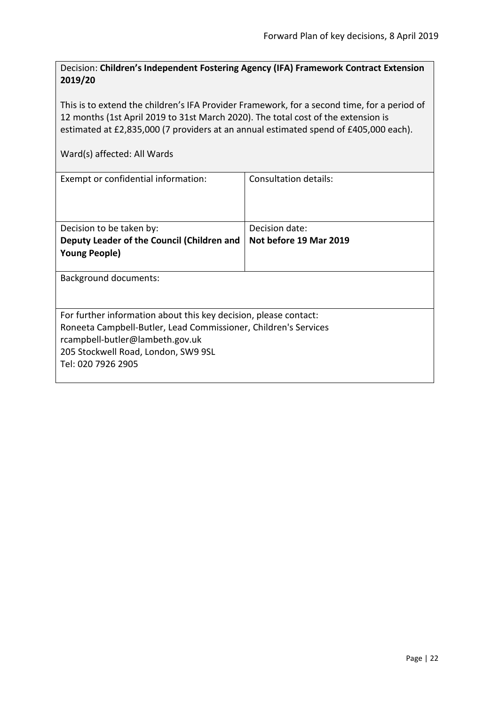<span id="page-21-0"></span>Decision: **Children's Independent Fostering Agency (IFA) Framework Contract Extension 2019/20**

This is to extend the children's IFA Provider Framework, for a second time, for a period of 12 months (1st April 2019 to 31st March 2020). The total cost of the extension is estimated at £2,835,000 (7 providers at an annual estimated spend of £405,000 each).

| Exempt or confidential information:                              | Consultation details:  |  |
|------------------------------------------------------------------|------------------------|--|
| Decision to be taken by:                                         | Decision date:         |  |
| Deputy Leader of the Council (Children and                       | Not before 19 Mar 2019 |  |
| <b>Young People)</b>                                             |                        |  |
| Background documents:                                            |                        |  |
| For further information about this key decision, please contact: |                        |  |
| Roneeta Campbell-Butler, Lead Commissioner, Children's Services  |                        |  |
| rcampbell-butler@lambeth.gov.uk                                  |                        |  |
| 205 Stockwell Road, London, SW9 9SL                              |                        |  |
| Tel: 020 7926 2905                                               |                        |  |
|                                                                  |                        |  |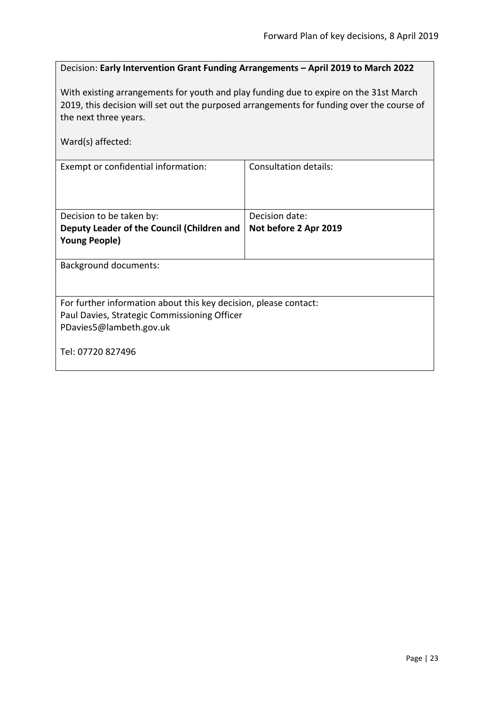# <span id="page-22-0"></span>Decision: **Early Intervention Grant Funding Arrangements – April 2019 to March 2022**

With existing arrangements for youth and play funding due to expire on the 31st March 2019, this decision will set out the purposed arrangements for funding over the course of the next three years.

| Ward(s) affected:                                                |                       |  |
|------------------------------------------------------------------|-----------------------|--|
| Exempt or confidential information:                              | Consultation details: |  |
|                                                                  |                       |  |
| Decision to be taken by:                                         | Decision date:        |  |
| Deputy Leader of the Council (Children and                       | Not before 2 Apr 2019 |  |
| <b>Young People)</b>                                             |                       |  |
|                                                                  |                       |  |
| Background documents:                                            |                       |  |
| For further information about this key decision, please contact: |                       |  |
| Paul Davies, Strategic Commissioning Officer                     |                       |  |
| PDavies5@lambeth.gov.uk                                          |                       |  |
| Tel: 07720 827496                                                |                       |  |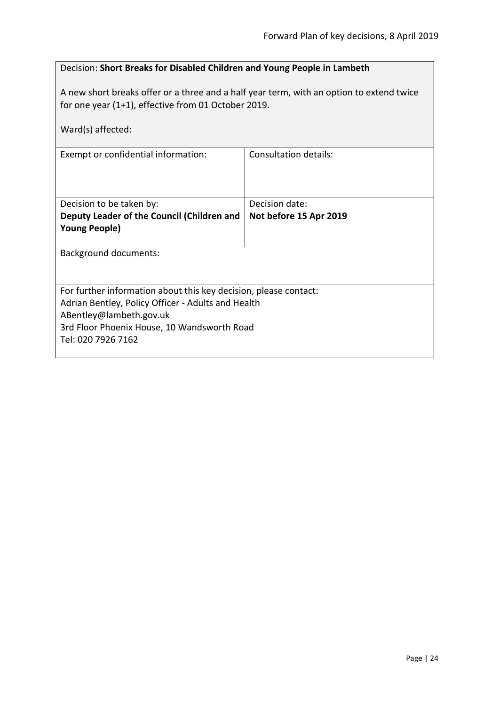# <span id="page-23-0"></span>Decision: **Short Breaks for Disabled Children and Young People in Lambeth**

A new short breaks offer or a three and a half year term, with an option to extend twice for one year (1+1), effective from 01 October 2019.

| Ward(s) affected:                                                      |                        |  |
|------------------------------------------------------------------------|------------------------|--|
| Exempt or confidential information:                                    | Consultation details:  |  |
| Decision to be taken by:                                               | Decision date:         |  |
| Deputy Leader of the Council (Children and                             | Not before 15 Apr 2019 |  |
| <b>Young People)</b>                                                   |                        |  |
| Background documents:                                                  |                        |  |
| For further information about this key decision, please contact:       |                        |  |
| Adrian Bentley, Policy Officer - Adults and Health                     |                        |  |
| ABentley@lambeth.gov.uk<br>3rd Floor Phoenix House, 10 Wandsworth Road |                        |  |
| Tel: 020 7926 7162                                                     |                        |  |
|                                                                        |                        |  |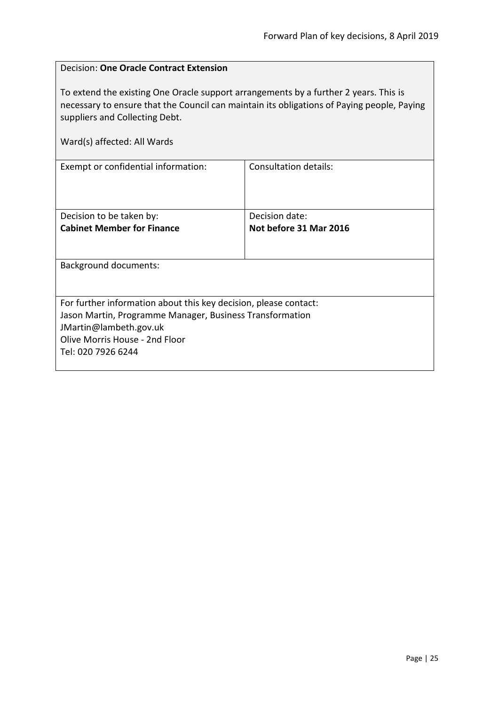$\overline{a}$ 

<span id="page-24-0"></span>

| <b>Decision: One Oracle Contract Extension</b>                                                                                                                                                                                                      |                              |  |
|-----------------------------------------------------------------------------------------------------------------------------------------------------------------------------------------------------------------------------------------------------|------------------------------|--|
| To extend the existing One Oracle support arrangements by a further 2 years. This is<br>necessary to ensure that the Council can maintain its obligations of Paying people, Paying<br>suppliers and Collecting Debt.<br>Ward(s) affected: All Wards |                              |  |
| Exempt or confidential information:                                                                                                                                                                                                                 | <b>Consultation details:</b> |  |
|                                                                                                                                                                                                                                                     |                              |  |
| Decision to be taken by:                                                                                                                                                                                                                            | Decision date:               |  |
| <b>Cabinet Member for Finance</b>                                                                                                                                                                                                                   | Not before 31 Mar 2016       |  |
| <b>Background documents:</b>                                                                                                                                                                                                                        |                              |  |
| For further information about this key decision, please contact:                                                                                                                                                                                    |                              |  |
| Jason Martin, Programme Manager, Business Transformation                                                                                                                                                                                            |                              |  |
| JMartin@lambeth.gov.uk                                                                                                                                                                                                                              |                              |  |
| Olive Morris House - 2nd Floor                                                                                                                                                                                                                      |                              |  |
| Tel: 020 7926 6244                                                                                                                                                                                                                                  |                              |  |

 $\overline{1}$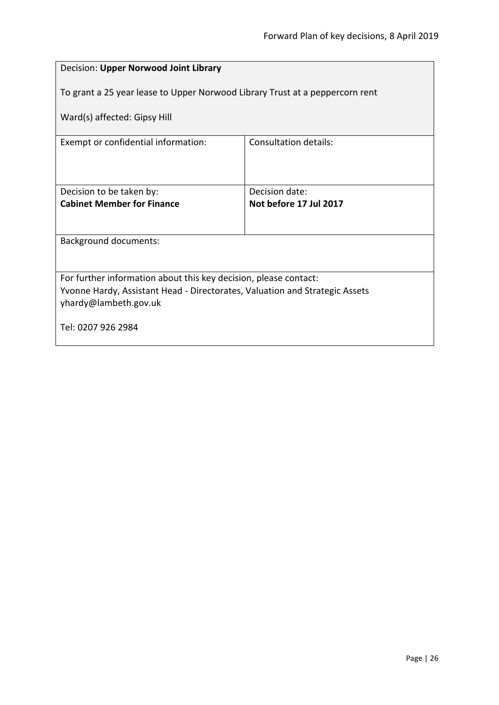<span id="page-25-0"></span>

| Decision: Upper Norwood Joint Library                                                                |                        |  |
|------------------------------------------------------------------------------------------------------|------------------------|--|
| To grant a 25 year lease to Upper Norwood Library Trust at a peppercorn rent                         |                        |  |
| Ward(s) affected: Gipsy Hill                                                                         |                        |  |
| Exempt or confidential information:                                                                  | Consultation details:  |  |
|                                                                                                      |                        |  |
| Decision to be taken by:                                                                             | Decision date:         |  |
| <b>Cabinet Member for Finance</b>                                                                    | Not before 17 Jul 2017 |  |
| <b>Background documents:</b>                                                                         |                        |  |
|                                                                                                      |                        |  |
| For further information about this key decision, please contact:                                     |                        |  |
| Yvonne Hardy, Assistant Head - Directorates, Valuation and Strategic Assets<br>yhardy@lambeth.gov.uk |                        |  |
| Tel: 0207 926 2984                                                                                   |                        |  |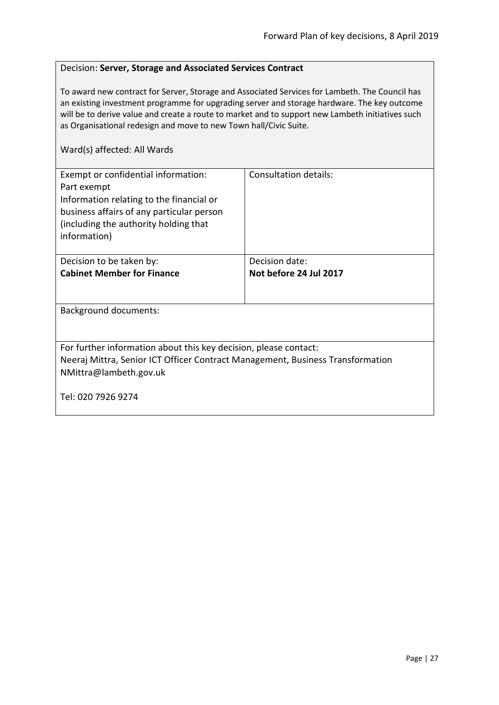#### <span id="page-26-0"></span>Decision: **Server, Storage and Associated Services Contract**

To award new contract for Server, Storage and Associated Services for Lambeth. The Council has an existing investment programme for upgrading server and storage hardware. The key outcome will be to derive value and create a route to market and to support new Lambeth initiatives such as Organisational redesign and move to new Town hall/Civic Suite.

| Exempt or confidential information:<br>Part exempt<br>Information relating to the financial or<br>business affairs of any particular person<br>(including the authority holding that<br>information) | Consultation details:  |
|------------------------------------------------------------------------------------------------------------------------------------------------------------------------------------------------------|------------------------|
| Decision to be taken by:                                                                                                                                                                             | Decision date:         |
| <b>Cabinet Member for Finance</b>                                                                                                                                                                    | Not before 24 Jul 2017 |
|                                                                                                                                                                                                      |                        |
| Background documents:                                                                                                                                                                                |                        |
|                                                                                                                                                                                                      |                        |
| For further information about this key decision, please contact:                                                                                                                                     |                        |
| Neeraj Mittra, Senior ICT Officer Contract Management, Business Transformation                                                                                                                       |                        |
| NMittra@lambeth.gov.uk                                                                                                                                                                               |                        |
| Tel: 020 7926 9274                                                                                                                                                                                   |                        |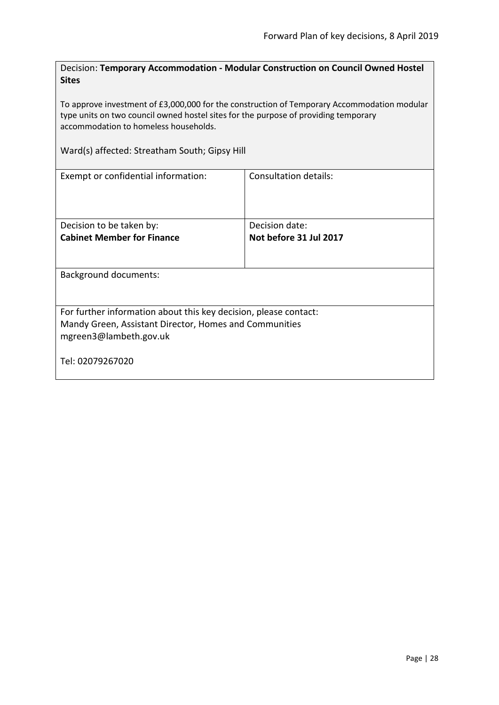<span id="page-27-0"></span>Decision: **Temporary Accommodation - Modular Construction on Council Owned Hostel Sites**

To approve investment of £3,000,000 for the construction of Temporary Accommodation modular type units on two council owned hostel sites for the purpose of providing temporary accommodation to homeless households.

Ward(s) affected: Streatham South; Gipsy Hill

| Exempt or confidential information:                                                                                                                  | Consultation details:  |
|------------------------------------------------------------------------------------------------------------------------------------------------------|------------------------|
| Decision to be taken by:                                                                                                                             | Decision date:         |
| <b>Cabinet Member for Finance</b>                                                                                                                    | Not before 31 Jul 2017 |
| <b>Background documents:</b>                                                                                                                         |                        |
|                                                                                                                                                      |                        |
| For further information about this key decision, please contact:<br>Mandy Green, Assistant Director, Homes and Communities<br>mgreen3@lambeth.gov.uk |                        |
| Tel: 02079267020                                                                                                                                     |                        |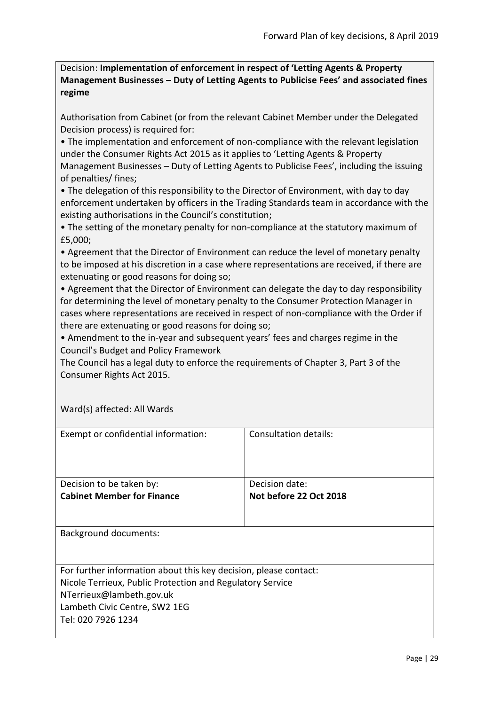<span id="page-28-0"></span>Decision: **Implementation of enforcement in respect of 'Letting Agents & Property Management Businesses – Duty of Letting Agents to Publicise Fees' and associated fines regime**

Authorisation from Cabinet (or from the relevant Cabinet Member under the Delegated Decision process) is required for:

• The implementation and enforcement of non-compliance with the relevant legislation under the Consumer Rights Act 2015 as it applies to 'Letting Agents & Property Management Businesses – Duty of Letting Agents to Publicise Fees', including the issuing of penalties/ fines;

• The delegation of this responsibility to the Director of Environment, with day to day enforcement undertaken by officers in the Trading Standards team in accordance with the existing authorisations in the Council's constitution;

• The setting of the monetary penalty for non-compliance at the statutory maximum of £5,000;

• Agreement that the Director of Environment can reduce the level of monetary penalty to be imposed at his discretion in a case where representations are received, if there are extenuating or good reasons for doing so;

• Agreement that the Director of Environment can delegate the day to day responsibility for determining the level of monetary penalty to the Consumer Protection Manager in cases where representations are received in respect of non-compliance with the Order if there are extenuating or good reasons for doing so;

• Amendment to the in-year and subsequent years' fees and charges regime in the Council's Budget and Policy Framework

The Council has a legal duty to enforce the requirements of Chapter 3, Part 3 of the Consumer Rights Act 2015.

| Exempt or confidential information:                              | Consultation details:  |
|------------------------------------------------------------------|------------------------|
| Decision to be taken by:                                         | Decision date:         |
| <b>Cabinet Member for Finance</b>                                | Not before 22 Oct 2018 |
|                                                                  |                        |
| <b>Background documents:</b>                                     |                        |
| For further information about this key decision, please contact: |                        |
| Nicole Terrieux, Public Protection and Regulatory Service        |                        |
| NTerrieux@lambeth.gov.uk                                         |                        |
| Lambeth Civic Centre, SW2 1EG                                    |                        |
| Tel: 020 7926 1234                                               |                        |
|                                                                  |                        |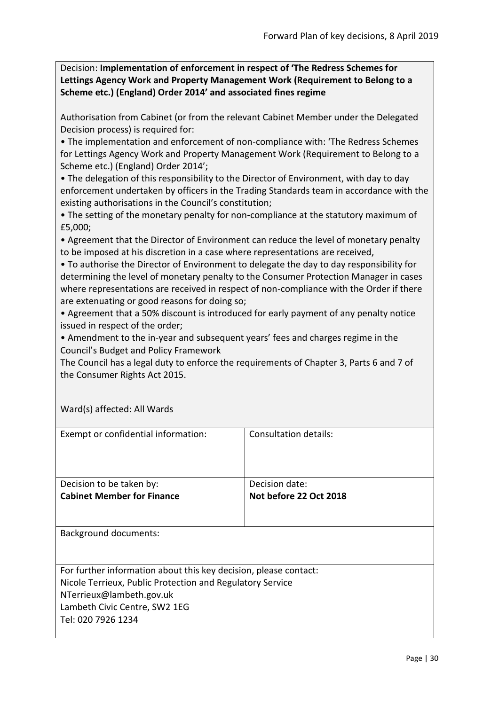<span id="page-29-0"></span>Decision: **Implementation of enforcement in respect of 'The Redress Schemes for Lettings Agency Work and Property Management Work (Requirement to Belong to a Scheme etc.) (England) Order 2014' and associated fines regime**

Authorisation from Cabinet (or from the relevant Cabinet Member under the Delegated Decision process) is required for:

• The implementation and enforcement of non-compliance with: 'The Redress Schemes for Lettings Agency Work and Property Management Work (Requirement to Belong to a Scheme etc.) (England) Order 2014';

• The delegation of this responsibility to the Director of Environment, with day to day enforcement undertaken by officers in the Trading Standards team in accordance with the existing authorisations in the Council's constitution;

• The setting of the monetary penalty for non-compliance at the statutory maximum of £5,000;

• Agreement that the Director of Environment can reduce the level of monetary penalty to be imposed at his discretion in a case where representations are received,

• To authorise the Director of Environment to delegate the day to day responsibility for determining the level of monetary penalty to the Consumer Protection Manager in cases where representations are received in respect of non-compliance with the Order if there are extenuating or good reasons for doing so;

• Agreement that a 50% discount is introduced for early payment of any penalty notice issued in respect of the order;

• Amendment to the in-year and subsequent years' fees and charges regime in the Council's Budget and Policy Framework

The Council has a legal duty to enforce the requirements of Chapter 3, Parts 6 and 7 of the Consumer Rights Act 2015.

| Exempt or confidential information:                              | Consultation details:  |
|------------------------------------------------------------------|------------------------|
| Decision to be taken by:                                         | Decision date:         |
| <b>Cabinet Member for Finance</b>                                | Not before 22 Oct 2018 |
|                                                                  |                        |
| <b>Background documents:</b>                                     |                        |
|                                                                  |                        |
| For further information about this key decision, please contact: |                        |
| Nicole Terrieux, Public Protection and Regulatory Service        |                        |
| NTerrieux@lambeth.gov.uk                                         |                        |
| Lambeth Civic Centre, SW2 1EG                                    |                        |
| Tel: 020 7926 1234                                               |                        |
|                                                                  |                        |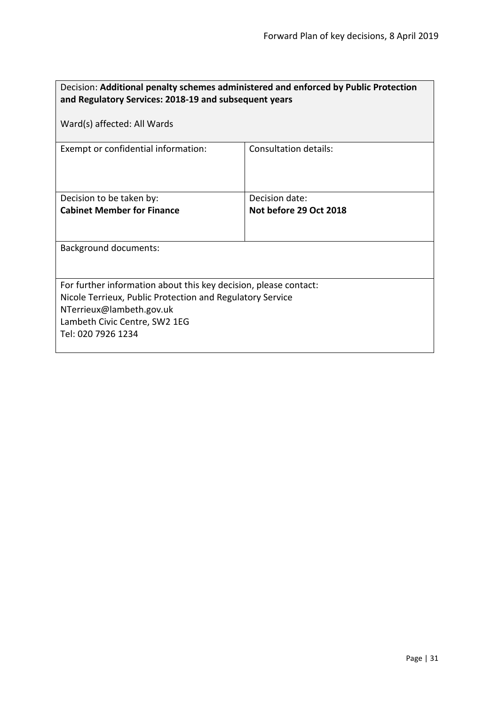<span id="page-30-0"></span>

| Decision: Additional penalty schemes administered and enforced by Public Protection<br>and Regulatory Services: 2018-19 and subsequent years                                                                     |                        |  |
|------------------------------------------------------------------------------------------------------------------------------------------------------------------------------------------------------------------|------------------------|--|
| Ward(s) affected: All Wards                                                                                                                                                                                      |                        |  |
| Exempt or confidential information:                                                                                                                                                                              | Consultation details:  |  |
| Decision to be taken by:                                                                                                                                                                                         | Decision date:         |  |
| <b>Cabinet Member for Finance</b>                                                                                                                                                                                | Not before 29 Oct 2018 |  |
| <b>Background documents:</b>                                                                                                                                                                                     |                        |  |
| For further information about this key decision, please contact:<br>Nicole Terrieux, Public Protection and Regulatory Service<br>NTerrieux@lambeth.gov.uk<br>Lambeth Civic Centre, SW2 1EG<br>Tel: 020 7926 1234 |                        |  |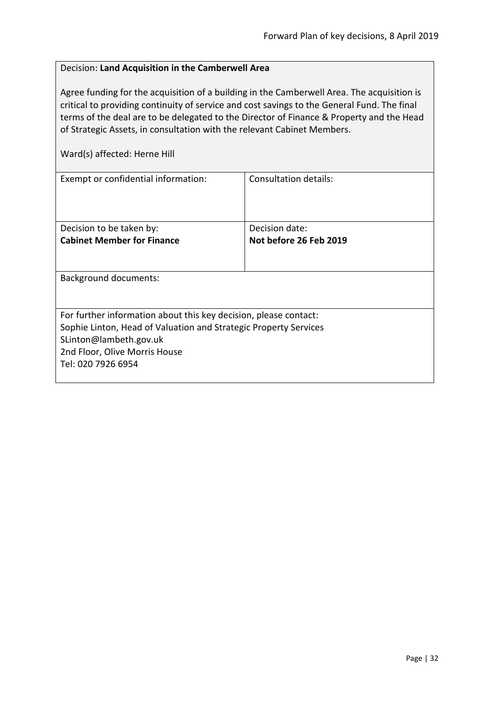# <span id="page-31-0"></span>Decision: **Land Acquisition in the Camberwell Area**

Agree funding for the acquisition of a building in the Camberwell Area. The acquisition is critical to providing continuity of service and cost savings to the General Fund. The final terms of the deal are to be delegated to the Director of Finance & Property and the Head of Strategic Assets, in consultation with the relevant Cabinet Members.

Ward(s) affected: Herne Hill

| Exempt or confidential information:                              | Consultation details:  |
|------------------------------------------------------------------|------------------------|
|                                                                  |                        |
|                                                                  |                        |
|                                                                  |                        |
| Decision to be taken by:                                         | Decision date:         |
| <b>Cabinet Member for Finance</b>                                | Not before 26 Feb 2019 |
|                                                                  |                        |
|                                                                  |                        |
| Background documents:                                            |                        |
|                                                                  |                        |
|                                                                  |                        |
| For further information about this key decision, please contact: |                        |
| Sophie Linton, Head of Valuation and Strategic Property Services |                        |
| SLinton@lambeth.gov.uk                                           |                        |
| 2nd Floor, Olive Morris House                                    |                        |
| Tel: 020 7926 6954                                               |                        |
|                                                                  |                        |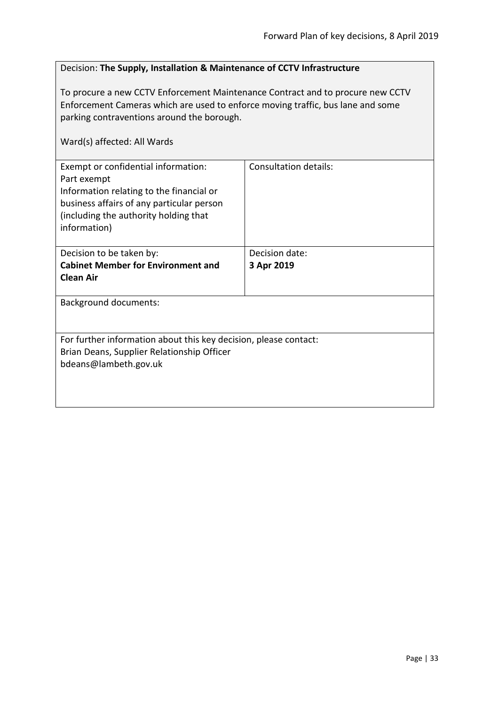### <span id="page-32-0"></span>Decision: **The Supply, Installation & Maintenance of CCTV Infrastructure**

To procure a new CCTV Enforcement Maintenance Contract and to procure new CCTV Enforcement Cameras which are used to enforce moving traffic, bus lane and some parking contraventions around the borough.

| Exempt or confidential information:<br>Part exempt<br>Information relating to the financial or<br>business affairs of any particular person<br>(including the authority holding that<br>information) | Consultation details: |
|------------------------------------------------------------------------------------------------------------------------------------------------------------------------------------------------------|-----------------------|
| Decision to be taken by:                                                                                                                                                                             | Decision date:        |
| <b>Cabinet Member for Environment and</b>                                                                                                                                                            | 3 Apr 2019            |
| <b>Clean Air</b>                                                                                                                                                                                     |                       |
|                                                                                                                                                                                                      |                       |
| <b>Background documents:</b>                                                                                                                                                                         |                       |
| For further information about this key decision, please contact:                                                                                                                                     |                       |
| Brian Deans, Supplier Relationship Officer                                                                                                                                                           |                       |
| bdeans@lambeth.gov.uk                                                                                                                                                                                |                       |
|                                                                                                                                                                                                      |                       |
|                                                                                                                                                                                                      |                       |
|                                                                                                                                                                                                      |                       |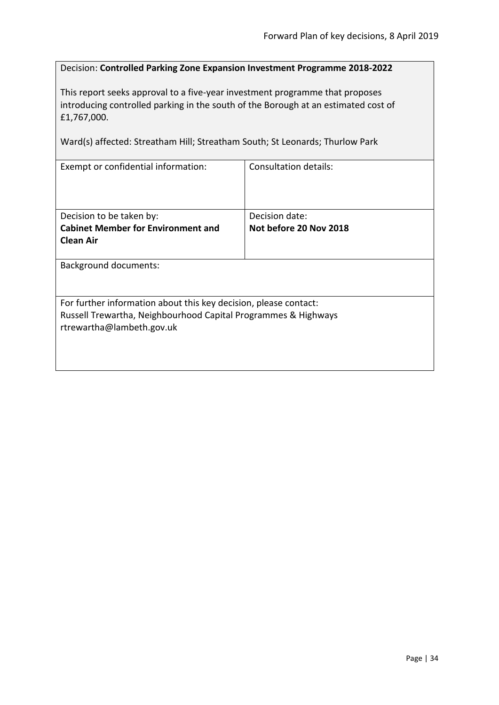### <span id="page-33-0"></span>Decision: **Controlled Parking Zone Expansion Investment Programme 2018-2022**

This report seeks approval to a five-year investment programme that proposes introducing controlled parking in the south of the Borough at an estimated cost of £1,767,000.

Ward(s) affected: Streatham Hill; Streatham South; St Leonards; Thurlow Park

| Exempt or confidential information:                              | Consultation details:  |
|------------------------------------------------------------------|------------------------|
|                                                                  |                        |
|                                                                  |                        |
|                                                                  |                        |
|                                                                  |                        |
| Decision to be taken by:                                         | Decision date:         |
| <b>Cabinet Member for Environment and</b>                        | Not before 20 Nov 2018 |
| <b>Clean Air</b>                                                 |                        |
|                                                                  |                        |
|                                                                  |                        |
| <b>Background documents:</b>                                     |                        |
|                                                                  |                        |
|                                                                  |                        |
| For further information about this key decision, please contact: |                        |
| Russell Trewartha, Neighbourhood Capital Programmes & Highways   |                        |
|                                                                  |                        |
| rtrewartha@lambeth.gov.uk                                        |                        |
|                                                                  |                        |
|                                                                  |                        |
|                                                                  |                        |
|                                                                  |                        |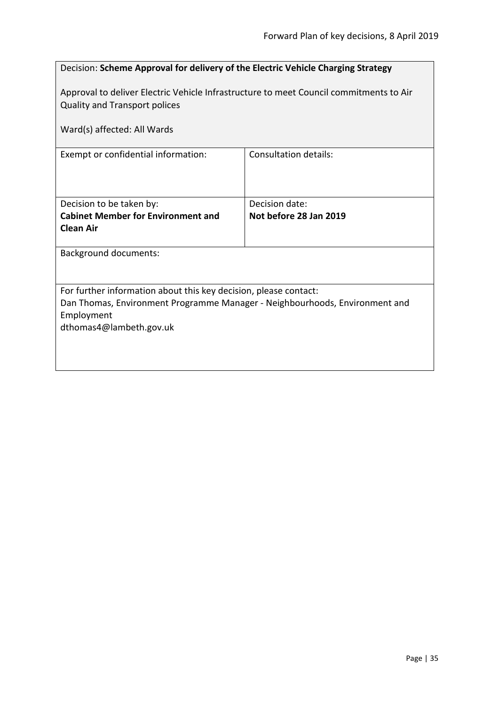<span id="page-34-0"></span>

| Decision: Scheme Approval for delivery of the Electric Vehicle Charging Strategy                                                                              |                                          |
|---------------------------------------------------------------------------------------------------------------------------------------------------------------|------------------------------------------|
| Approval to deliver Electric Vehicle Infrastructure to meet Council commitments to Air<br><b>Quality and Transport polices</b><br>Ward(s) affected: All Wards |                                          |
| <b>Consultation details:</b><br>Exempt or confidential information:                                                                                           |                                          |
|                                                                                                                                                               |                                          |
| Decision to be taken by:<br><b>Cabinet Member for Environment and</b>                                                                                         | Decision date:<br>Not before 28 Jan 2019 |
| <b>Clean Air</b>                                                                                                                                              |                                          |
| <b>Background documents:</b>                                                                                                                                  |                                          |
|                                                                                                                                                               |                                          |
| For further information about this key decision, please contact:                                                                                              |                                          |
| Dan Thomas, Environment Programme Manager - Neighbourhoods, Environment and                                                                                   |                                          |
| Employment<br>dthomas4@lambeth.gov.uk                                                                                                                         |                                          |
|                                                                                                                                                               |                                          |
|                                                                                                                                                               |                                          |
|                                                                                                                                                               |                                          |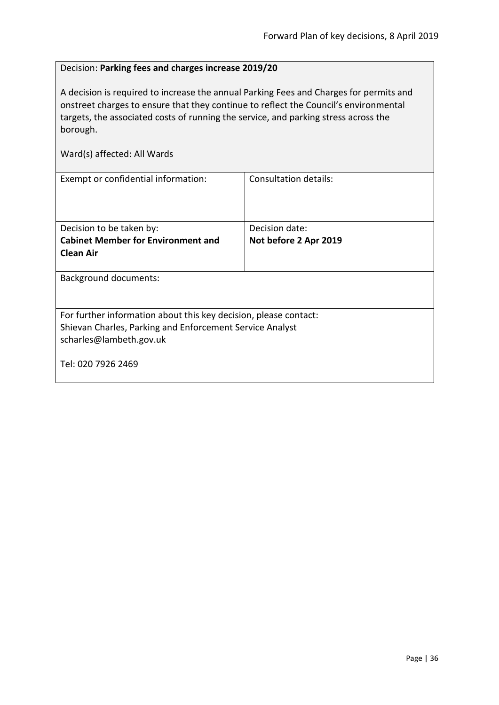# <span id="page-35-0"></span>Decision: **Parking fees and charges increase 2019/20**

A decision is required to increase the annual Parking Fees and Charges for permits and onstreet charges to ensure that they continue to reflect the Council's environmental targets, the associated costs of running the service, and parking stress across the borough.

| Exempt or confidential information:                              | <b>Consultation details:</b> |
|------------------------------------------------------------------|------------------------------|
|                                                                  |                              |
|                                                                  |                              |
| Decision to be taken by:                                         | Decision date:               |
| <b>Cabinet Member for Environment and</b>                        | Not before 2 Apr 2019        |
| <b>Clean Air</b>                                                 |                              |
|                                                                  |                              |
| Background documents:                                            |                              |
|                                                                  |                              |
|                                                                  |                              |
| For further information about this key decision, please contact: |                              |
| Shievan Charles, Parking and Enforcement Service Analyst         |                              |
| scharles@lambeth.gov.uk                                          |                              |
|                                                                  |                              |
| Tel: 020 7926 2469                                               |                              |
|                                                                  |                              |
|                                                                  |                              |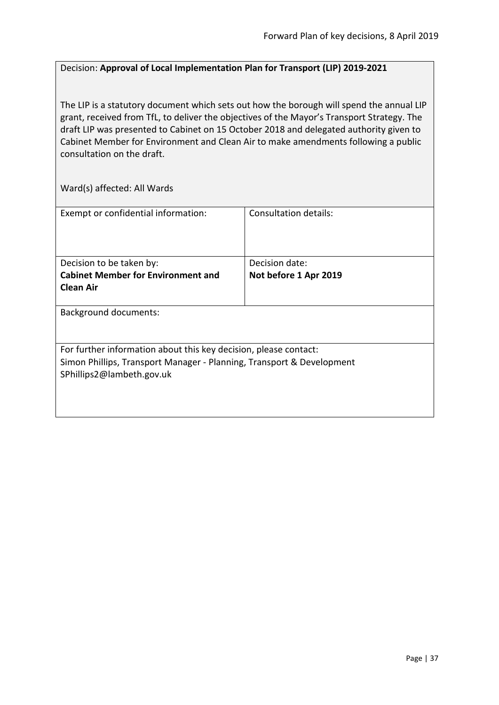## Decision: **Approval of Local Implementation Plan for Transport (LIP) 2019-2021**

The LIP is a statutory document which sets out how the borough will spend the annual LIP grant, received from TfL, to deliver the objectives of the Mayor's Transport Strategy. The draft LIP was presented to Cabinet on 15 October 2018 and delegated authority given to Cabinet Member for Environment and Clean Air to make amendments following a public consultation on the draft.

| Exempt or confidential information:                                   | Consultation details: |  |
|-----------------------------------------------------------------------|-----------------------|--|
|                                                                       |                       |  |
|                                                                       |                       |  |
|                                                                       |                       |  |
| Decision to be taken by:                                              | Decision date:        |  |
| <b>Cabinet Member for Environment and</b>                             | Not before 1 Apr 2019 |  |
| <b>Clean Air</b>                                                      |                       |  |
|                                                                       |                       |  |
| <b>Background documents:</b>                                          |                       |  |
|                                                                       |                       |  |
|                                                                       |                       |  |
| For further information about this key decision, please contact:      |                       |  |
| Simon Phillips, Transport Manager - Planning, Transport & Development |                       |  |
| SPhillips2@lambeth.gov.uk                                             |                       |  |
|                                                                       |                       |  |
|                                                                       |                       |  |
|                                                                       |                       |  |
|                                                                       |                       |  |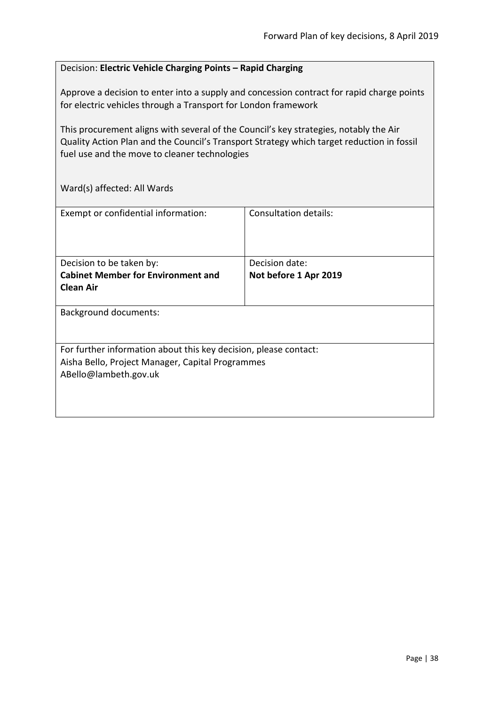### Decision: **Electric Vehicle Charging Points – Rapid Charging**

Approve a decision to enter into a supply and concession contract for rapid charge points for electric vehicles through a Transport for London framework

This procurement aligns with several of the Council's key strategies, notably the Air Quality Action Plan and the Council's Transport Strategy which target reduction in fossil fuel use and the move to cleaner technologies

| Exempt or confidential information:                                                                                                           | Consultation details:                   |  |
|-----------------------------------------------------------------------------------------------------------------------------------------------|-----------------------------------------|--|
| Decision to be taken by:<br><b>Cabinet Member for Environment and</b><br><b>Clean Air</b>                                                     | Decision date:<br>Not before 1 Apr 2019 |  |
| <b>Background documents:</b>                                                                                                                  |                                         |  |
| For further information about this key decision, please contact:<br>Aisha Bello, Project Manager, Capital Programmes<br>ABello@lambeth.gov.uk |                                         |  |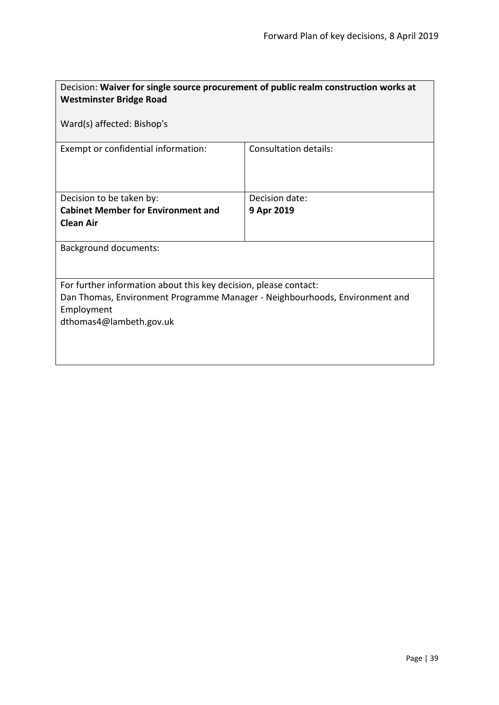| Decision: Waiver for single source procurement of public realm construction works at<br><b>Westminster Bridge Road</b><br>Ward(s) affected: Bishop's                                     |                              |  |
|------------------------------------------------------------------------------------------------------------------------------------------------------------------------------------------|------------------------------|--|
|                                                                                                                                                                                          |                              |  |
| Exempt or confidential information:                                                                                                                                                      | <b>Consultation details:</b> |  |
| Decision to be taken by:                                                                                                                                                                 | Decision date:               |  |
| <b>Cabinet Member for Environment and</b><br><b>Clean Air</b>                                                                                                                            | 9 Apr 2019                   |  |
| <b>Background documents:</b>                                                                                                                                                             |                              |  |
| For further information about this key decision, please contact:<br>Dan Thomas, Environment Programme Manager - Neighbourhoods, Environment and<br>Employment<br>dthomas4@lambeth.gov.uk |                              |  |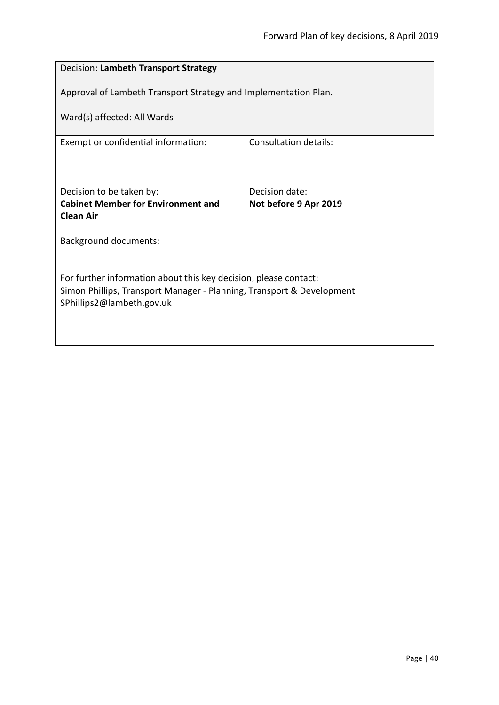| Decision: Lambeth Transport Strategy                                  |                       |  |
|-----------------------------------------------------------------------|-----------------------|--|
| Approval of Lambeth Transport Strategy and Implementation Plan.       |                       |  |
| Ward(s) affected: All Wards                                           |                       |  |
| Exempt or confidential information:                                   | Consultation details: |  |
|                                                                       |                       |  |
| Decision to be taken by:                                              | Decision date:        |  |
| <b>Cabinet Member for Environment and</b>                             | Not before 9 Apr 2019 |  |
| <b>Clean Air</b>                                                      |                       |  |
| <b>Background documents:</b>                                          |                       |  |
|                                                                       |                       |  |
| For further information about this key decision, please contact:      |                       |  |
| Simon Phillips, Transport Manager - Planning, Transport & Development |                       |  |
| SPhillips2@lambeth.gov.uk                                             |                       |  |
|                                                                       |                       |  |
|                                                                       |                       |  |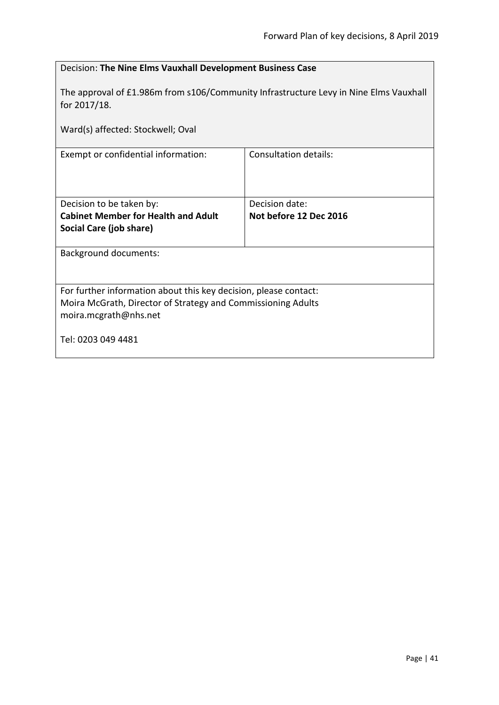| Decision: The Nine Elms Vauxhall Development Business Case                                            |                        |  |
|-------------------------------------------------------------------------------------------------------|------------------------|--|
| The approval of £1.986m from s106/Community Infrastructure Levy in Nine Elms Vauxhall<br>for 2017/18. |                        |  |
| Ward(s) affected: Stockwell; Oval                                                                     |                        |  |
| Exempt or confidential information:                                                                   | Consultation details:  |  |
|                                                                                                       |                        |  |
| Decision to be taken by:                                                                              | Decision date:         |  |
| <b>Cabinet Member for Health and Adult</b>                                                            | Not before 12 Dec 2016 |  |
| Social Care (job share)                                                                               |                        |  |
| <b>Background documents:</b>                                                                          |                        |  |
|                                                                                                       |                        |  |
| For further information about this key decision, please contact:                                      |                        |  |
| Moira McGrath, Director of Strategy and Commissioning Adults                                          |                        |  |
| moira.mcgrath@nhs.net                                                                                 |                        |  |
| Tel: 0203 049 4481                                                                                    |                        |  |
|                                                                                                       |                        |  |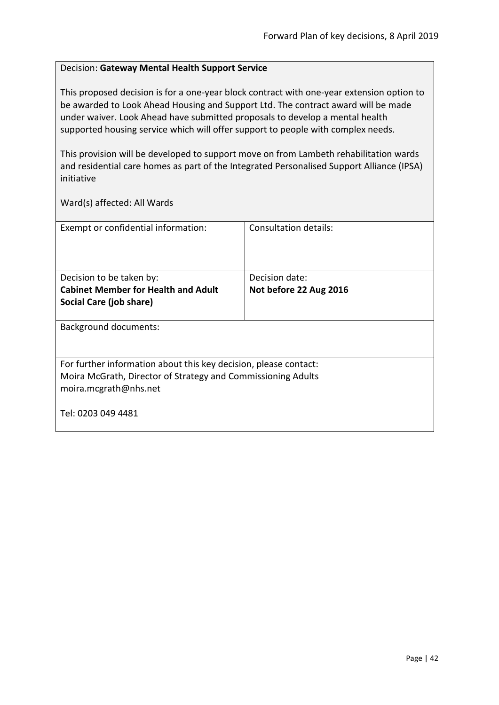### Decision: **Gateway Mental Health Support Service**

This proposed decision is for a one-year block contract with one-year extension option to be awarded to Look Ahead Housing and Support Ltd. The contract award will be made under waiver. Look Ahead have submitted proposals to develop a mental health supported housing service which will offer support to people with complex needs.

This provision will be developed to support move on from Lambeth rehabilitation wards and residential care homes as part of the Integrated Personalised Support Alliance (IPSA) initiative

| Exempt or confidential information:                                                                                                                       | Consultation details:  |
|-----------------------------------------------------------------------------------------------------------------------------------------------------------|------------------------|
| Decision to be taken by:                                                                                                                                  | Decision date:         |
| <b>Cabinet Member for Health and Adult</b>                                                                                                                | Not before 22 Aug 2016 |
| Social Care (job share)                                                                                                                                   |                        |
| <b>Background documents:</b>                                                                                                                              |                        |
| For further information about this key decision, please contact:<br>Moira McGrath, Director of Strategy and Commissioning Adults<br>moira.mcgrath@nhs.net |                        |
| Tel: 0203 049 4481                                                                                                                                        |                        |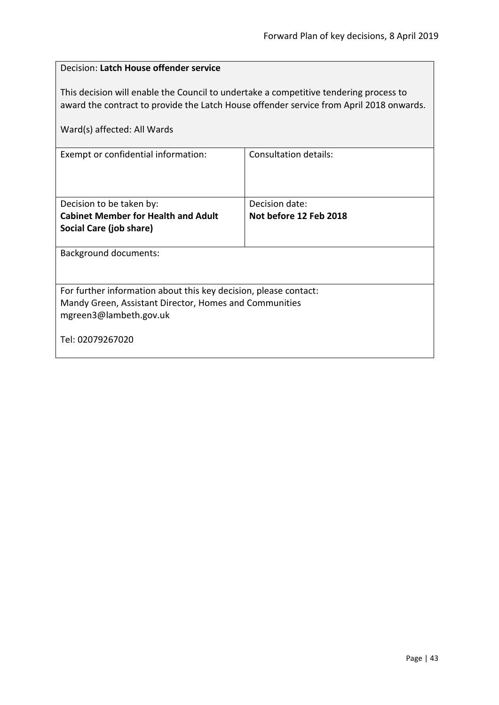| Decision: Latch House offender service                                                                                                                                                                          |                              |  |
|-----------------------------------------------------------------------------------------------------------------------------------------------------------------------------------------------------------------|------------------------------|--|
| This decision will enable the Council to undertake a competitive tendering process to<br>award the contract to provide the Latch House offender service from April 2018 onwards.<br>Ward(s) affected: All Wards |                              |  |
| Exempt or confidential information:                                                                                                                                                                             | <b>Consultation details:</b> |  |
|                                                                                                                                                                                                                 |                              |  |
| Decision to be taken by:                                                                                                                                                                                        | Decision date:               |  |
| <b>Cabinet Member for Health and Adult</b>                                                                                                                                                                      | Not before 12 Feb 2018       |  |
| Social Care (job share)                                                                                                                                                                                         |                              |  |
| <b>Background documents:</b>                                                                                                                                                                                    |                              |  |
|                                                                                                                                                                                                                 |                              |  |
| For further information about this key decision, please contact:                                                                                                                                                |                              |  |
| Mandy Green, Assistant Director, Homes and Communities                                                                                                                                                          |                              |  |
| mgreen3@lambeth.gov.uk                                                                                                                                                                                          |                              |  |
| Tel: 02079267020                                                                                                                                                                                                |                              |  |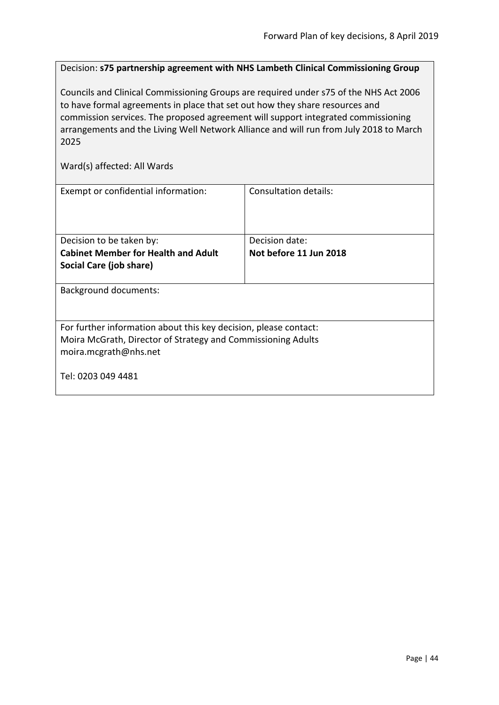Decision: **s75 partnership agreement with NHS Lambeth Clinical Commissioning Group**

Councils and Clinical Commissioning Groups are required under s75 of the NHS Act 2006 to have formal agreements in place that set out how they share resources and commission services. The proposed agreement will support integrated commissioning arrangements and the Living Well Network Alliance and will run from July 2018 to March 2025

| Exempt or confidential information:                              | Consultation details:  |  |
|------------------------------------------------------------------|------------------------|--|
| Decision to be taken by:                                         | Decision date:         |  |
| <b>Cabinet Member for Health and Adult</b>                       | Not before 11 Jun 2018 |  |
| Social Care (job share)                                          |                        |  |
|                                                                  |                        |  |
| <b>Background documents:</b>                                     |                        |  |
| For further information about this key decision, please contact: |                        |  |
| Moira McGrath, Director of Strategy and Commissioning Adults     |                        |  |
| moira.mcgrath@nhs.net                                            |                        |  |
|                                                                  |                        |  |
| Tel: 0203 049 4481                                               |                        |  |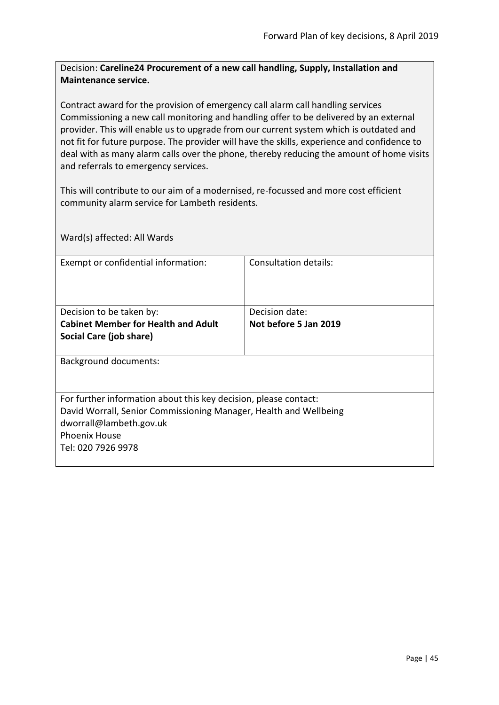Decision: **Careline24 Procurement of a new call handling, Supply, Installation and Maintenance service.**

Contract award for the provision of emergency call alarm call handling services Commissioning a new call monitoring and handling offer to be delivered by an external provider. This will enable us to upgrade from our current system which is outdated and not fit for future purpose. The provider will have the skills, experience and confidence to deal with as many alarm calls over the phone, thereby reducing the amount of home visits and referrals to emergency services.

This will contribute to our aim of a modernised, re-focussed and more cost efficient community alarm service for Lambeth residents.

Ward(s) affected: All Wards Exempt or confidential information: Consultation details: Decision to be taken by: **Cabinet Member for Health and Adult Social Care (job share)** Decision date: **Not before 5 Jan 2019** Background documents: For further information about this key decision, please contact: David Worrall, Senior Commissioning Manager, Health and Wellbeing dworrall@lambeth.gov.uk Phoenix House Tel: 020 7926 9978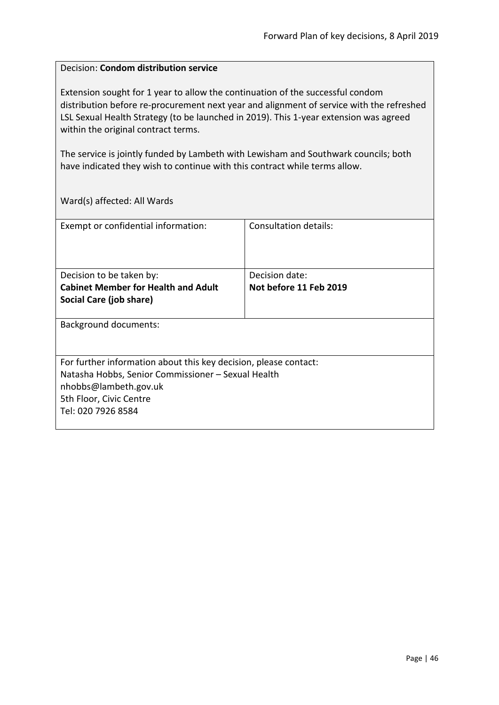#### Decision: **Condom distribution service**

Extension sought for 1 year to allow the continuation of the successful condom distribution before re-procurement next year and alignment of service with the refreshed LSL Sexual Health Strategy (to be launched in 2019). This 1-year extension was agreed within the original contract terms.

The service is jointly funded by Lambeth with Lewisham and Southwark councils; both have indicated they wish to continue with this contract while terms allow.

| Exempt or confidential information:                              | Consultation details:  |
|------------------------------------------------------------------|------------------------|
|                                                                  |                        |
|                                                                  |                        |
| Decision to be taken by:                                         | Decision date:         |
| <b>Cabinet Member for Health and Adult</b>                       | Not before 11 Feb 2019 |
| Social Care (job share)                                          |                        |
|                                                                  |                        |
| Background documents:                                            |                        |
|                                                                  |                        |
|                                                                  |                        |
| For further information about this key decision, please contact: |                        |
| Natasha Hobbs, Senior Commissioner - Sexual Health               |                        |
| nhobbs@lambeth.gov.uk                                            |                        |
| 5th Floor, Civic Centre                                          |                        |
| Tel: 020 7926 8584                                               |                        |
|                                                                  |                        |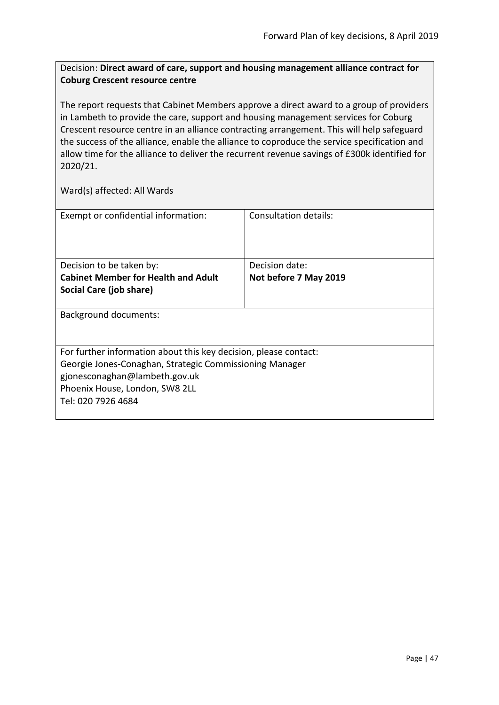## Decision: **Direct award of care, support and housing management alliance contract for Coburg Crescent resource centre**

The report requests that Cabinet Members approve a direct award to a group of providers in Lambeth to provide the care, support and housing management services for Coburg Crescent resource centre in an alliance contracting arrangement. This will help safeguard the success of the alliance, enable the alliance to coproduce the service specification and allow time for the alliance to deliver the recurrent revenue savings of £300k identified for 2020/21.

| Exempt or confidential information:                              | Consultation details: |
|------------------------------------------------------------------|-----------------------|
| Decision to be taken by:                                         | Decision date:        |
| <b>Cabinet Member for Health and Adult</b>                       | Not before 7 May 2019 |
|                                                                  |                       |
| Social Care (job share)                                          |                       |
| Background documents:                                            |                       |
| For further information about this key decision, please contact: |                       |
| Georgie Jones-Conaghan, Strategic Commissioning Manager          |                       |
| gjonesconaghan@lambeth.gov.uk                                    |                       |
|                                                                  |                       |
| Phoenix House, London, SW8 2LL                                   |                       |
| Tel: 020 7926 4684                                               |                       |
|                                                                  |                       |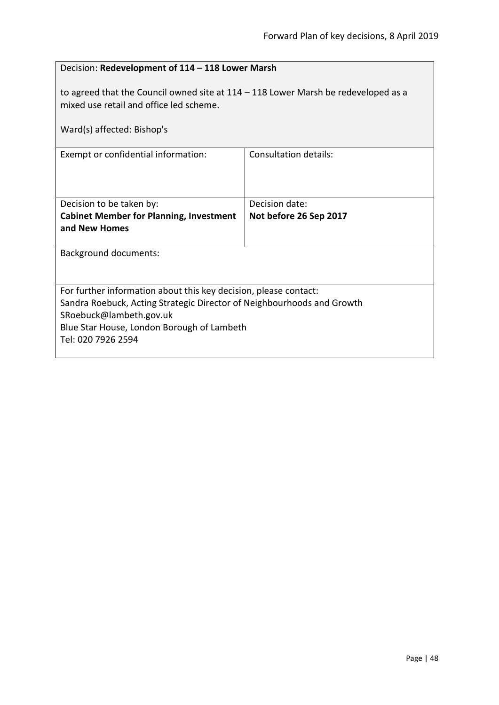| Decision: Redevelopment of 114 - 118 Lower Marsh                                                                                                              |                        |  |
|---------------------------------------------------------------------------------------------------------------------------------------------------------------|------------------------|--|
| to agreed that the Council owned site at $114 - 118$ Lower Marsh be redeveloped as a<br>mixed use retail and office led scheme.<br>Ward(s) affected: Bishop's |                        |  |
| Exempt or confidential information:                                                                                                                           | Consultation details:  |  |
|                                                                                                                                                               |                        |  |
| Decision to be taken by:                                                                                                                                      | Decision date:         |  |
| <b>Cabinet Member for Planning, Investment</b>                                                                                                                | Not before 26 Sep 2017 |  |
| and New Homes                                                                                                                                                 |                        |  |
| <b>Background documents:</b>                                                                                                                                  |                        |  |
|                                                                                                                                                               |                        |  |
| For further information about this key decision, please contact:                                                                                              |                        |  |
| Sandra Roebuck, Acting Strategic Director of Neighbourhoods and Growth                                                                                        |                        |  |
| SRoebuck@lambeth.gov.uk<br>Blue Star House, London Borough of Lambeth                                                                                         |                        |  |
| Tel: 020 7926 2594                                                                                                                                            |                        |  |
|                                                                                                                                                               |                        |  |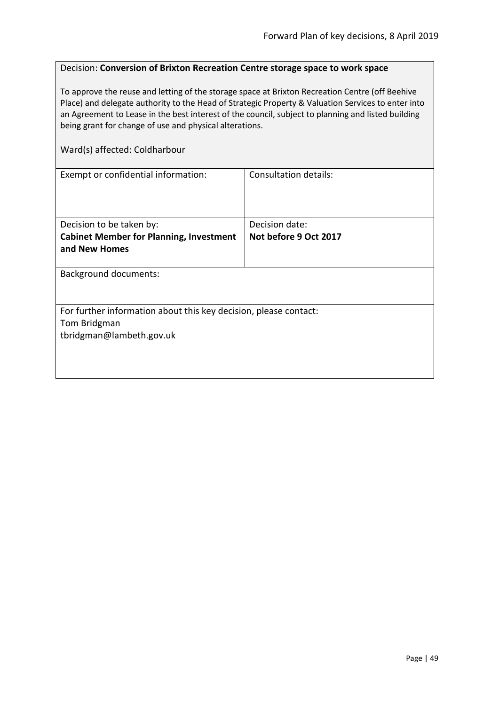#### Decision: **Conversion of Brixton Recreation Centre storage space to work space**

To approve the reuse and letting of the storage space at Brixton Recreation Centre (off Beehive Place) and delegate authority to the Head of Strategic Property & Valuation Services to enter into an Agreement to Lease in the best interest of the council, subject to planning and listed building being grant for change of use and physical alterations.

Ward(s) affected: Coldharbour

| Exempt or confidential information:                              | Consultation details: |  |
|------------------------------------------------------------------|-----------------------|--|
|                                                                  |                       |  |
|                                                                  |                       |  |
|                                                                  |                       |  |
| Decision to be taken by:                                         | Decision date:        |  |
| <b>Cabinet Member for Planning, Investment</b>                   | Not before 9 Oct 2017 |  |
| and New Homes                                                    |                       |  |
|                                                                  |                       |  |
| <b>Background documents:</b>                                     |                       |  |
|                                                                  |                       |  |
|                                                                  |                       |  |
| For further information about this key decision, please contact: |                       |  |
| Tom Bridgman                                                     |                       |  |
| tbridgman@lambeth.gov.uk                                         |                       |  |
|                                                                  |                       |  |
|                                                                  |                       |  |
|                                                                  |                       |  |
|                                                                  |                       |  |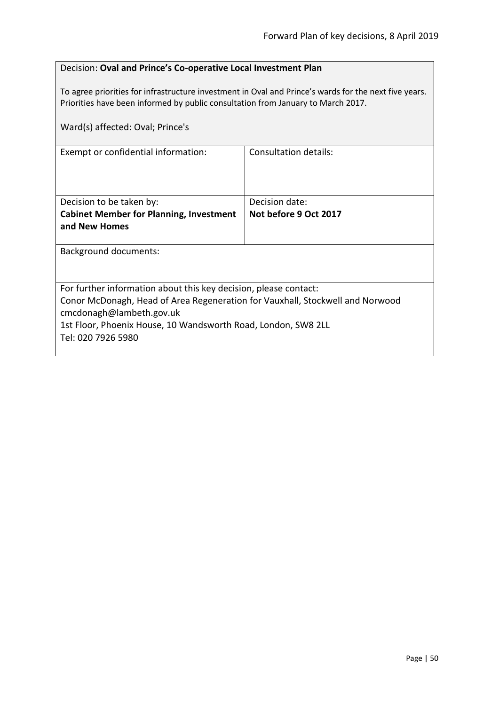### Decision: **Oval and Prince's Co-operative Local Investment Plan**

To agree priorities for infrastructure investment in Oval and Prince's wards for the next five years. Priorities have been informed by public consultation from January to March 2017.

| Consultation details:                                                                                     |  |
|-----------------------------------------------------------------------------------------------------------|--|
| Decision date:                                                                                            |  |
| Not before 9 Oct 2017                                                                                     |  |
|                                                                                                           |  |
|                                                                                                           |  |
| For further information about this key decision, please contact:                                          |  |
| Conor McDonagh, Head of Area Regeneration for Vauxhall, Stockwell and Norwood<br>cmcdonagh@lambeth.gov.uk |  |
| 1st Floor, Phoenix House, 10 Wandsworth Road, London, SW8 2LL                                             |  |
|                                                                                                           |  |
|                                                                                                           |  |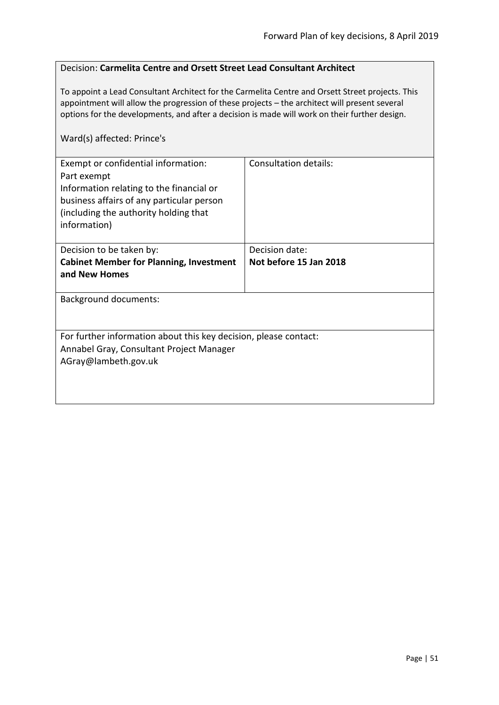### Decision: **Carmelita Centre and Orsett Street Lead Consultant Architect**

To appoint a Lead Consultant Architect for the Carmelita Centre and Orsett Street projects. This appointment will allow the progression of these projects – the architect will present several options for the developments, and after a decision is made will work on their further design.

### Ward(s) affected: Prince's

| Exempt or confidential information:<br>Part exempt<br>Information relating to the financial or<br>business affairs of any particular person<br>(including the authority holding that<br>information) | Consultation details:  |
|------------------------------------------------------------------------------------------------------------------------------------------------------------------------------------------------------|------------------------|
| Decision to be taken by:                                                                                                                                                                             | Decision date:         |
| <b>Cabinet Member for Planning, Investment</b><br>and New Homes                                                                                                                                      | Not before 15 Jan 2018 |
| Background documents:                                                                                                                                                                                |                        |
| For further information about this key decision, please contact:<br>Annabel Gray, Consultant Project Manager<br>AGray@lambeth.gov.uk                                                                 |                        |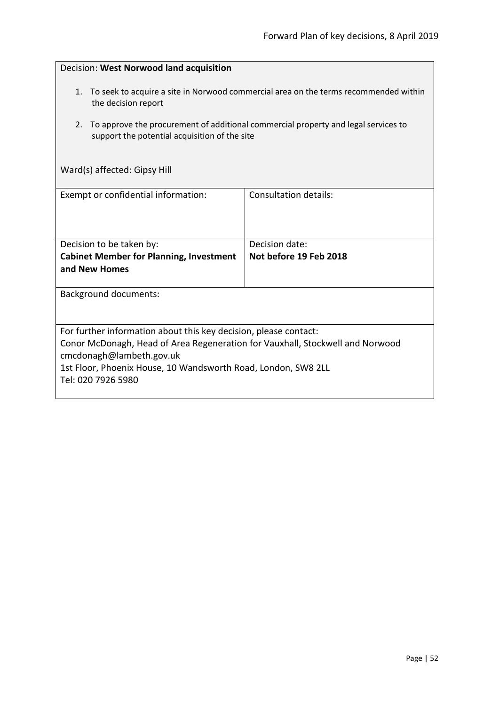| Decision: West Norwood land acquisition                                                                                                                                                                                                                              |                              |  |
|----------------------------------------------------------------------------------------------------------------------------------------------------------------------------------------------------------------------------------------------------------------------|------------------------------|--|
| 1. To seek to acquire a site in Norwood commercial area on the terms recommended within<br>the decision report                                                                                                                                                       |                              |  |
| To approve the procurement of additional commercial property and legal services to<br>2.<br>support the potential acquisition of the site                                                                                                                            |                              |  |
| Ward(s) affected: Gipsy Hill                                                                                                                                                                                                                                         |                              |  |
| Exempt or confidential information:                                                                                                                                                                                                                                  | <b>Consultation details:</b> |  |
|                                                                                                                                                                                                                                                                      |                              |  |
| Decision to be taken by:                                                                                                                                                                                                                                             | Decision date:               |  |
| <b>Cabinet Member for Planning, Investment</b><br>and New Homes                                                                                                                                                                                                      | Not before 19 Feb 2018       |  |
| <b>Background documents:</b>                                                                                                                                                                                                                                         |                              |  |
|                                                                                                                                                                                                                                                                      |                              |  |
| For further information about this key decision, please contact:<br>Conor McDonagh, Head of Area Regeneration for Vauxhall, Stockwell and Norwood<br>cmcdonagh@lambeth.gov.uk<br>1st Floor, Phoenix House, 10 Wandsworth Road, London, SW8 2LL<br>Tel: 020 7926 5980 |                              |  |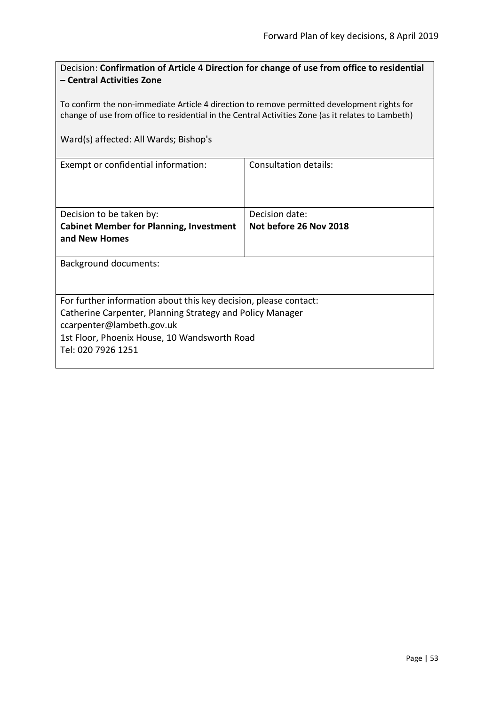| Decision: Confirmation of Article 4 Direction for change of use from office to residential |
|--------------------------------------------------------------------------------------------|
| - Central Activities Zone                                                                  |

To confirm the non-immediate Article 4 direction to remove permitted development rights for change of use from office to residential in the Central Activities Zone (as it relates to Lambeth)

Ward(s) affected: All Wards; Bishop's

| Exempt or confidential information:                              | Consultation details:  |
|------------------------------------------------------------------|------------------------|
|                                                                  |                        |
| Decision to be taken by:                                         | Decision date:         |
| <b>Cabinet Member for Planning, Investment</b>                   | Not before 26 Nov 2018 |
| and New Homes                                                    |                        |
|                                                                  |                        |
| Background documents:                                            |                        |
|                                                                  |                        |
|                                                                  |                        |
| For further information about this key decision, please contact: |                        |
| Catherine Carpenter, Planning Strategy and Policy Manager        |                        |
| ccarpenter@lambeth.gov.uk                                        |                        |
| 1st Floor, Phoenix House, 10 Wandsworth Road                     |                        |
| Tel: 020 7926 1251                                               |                        |
|                                                                  |                        |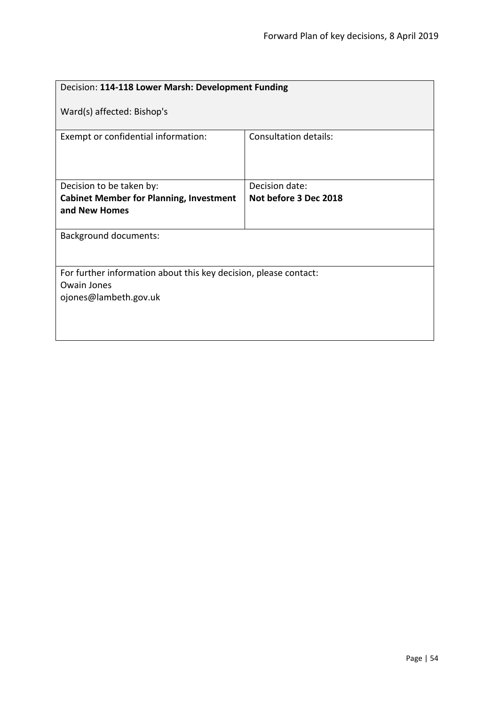| Decision: 114-118 Lower Marsh: Development Funding               |                              |  |
|------------------------------------------------------------------|------------------------------|--|
| Ward(s) affected: Bishop's                                       |                              |  |
| Exempt or confidential information:                              | <b>Consultation details:</b> |  |
| Decision to be taken by:                                         | Decision date:               |  |
| <b>Cabinet Member for Planning, Investment</b>                   | Not before 3 Dec 2018        |  |
| and New Homes                                                    |                              |  |
| <b>Background documents:</b>                                     |                              |  |
| For further information about this key decision, please contact: |                              |  |
| <b>Owain Jones</b>                                               |                              |  |
| ojones@lambeth.gov.uk                                            |                              |  |
|                                                                  |                              |  |
|                                                                  |                              |  |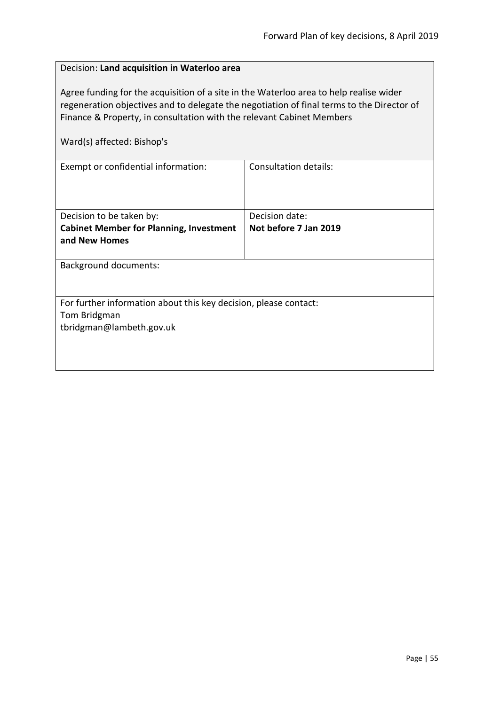| Decision: Land acquisition in Waterloo area                                                                                                                                                                                                                                                |                                         |  |
|--------------------------------------------------------------------------------------------------------------------------------------------------------------------------------------------------------------------------------------------------------------------------------------------|-----------------------------------------|--|
| Agree funding for the acquisition of a site in the Waterloo area to help realise wider<br>regeneration objectives and to delegate the negotiation of final terms to the Director of<br>Finance & Property, in consultation with the relevant Cabinet Members<br>Ward(s) affected: Bishop's |                                         |  |
| Exempt or confidential information:                                                                                                                                                                                                                                                        | Consultation details:                   |  |
| Decision to be taken by:<br><b>Cabinet Member for Planning, Investment</b><br>and New Homes                                                                                                                                                                                                | Decision date:<br>Not before 7 Jan 2019 |  |
| <b>Background documents:</b>                                                                                                                                                                                                                                                               |                                         |  |
| For further information about this key decision, please contact:<br>Tom Bridgman<br>tbridgman@lambeth.gov.uk                                                                                                                                                                               |                                         |  |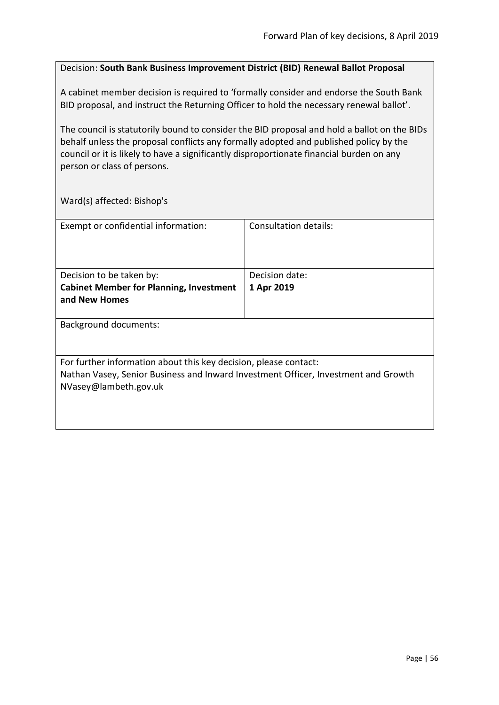#### Decision: **South Bank Business Improvement District (BID) Renewal Ballot Proposal**

A cabinet member decision is required to 'formally consider and endorse the South Bank BID proposal, and instruct the Returning Officer to hold the necessary renewal ballot'.

The council is statutorily bound to consider the BID proposal and hold a ballot on the BIDs behalf unless the proposal conflicts any formally adopted and published policy by the council or it is likely to have a significantly disproportionate financial burden on any person or class of persons.

Ward(s) affected: Bishop's

| Exempt or confidential information:                                                | Consultation details: |
|------------------------------------------------------------------------------------|-----------------------|
|                                                                                    |                       |
|                                                                                    |                       |
|                                                                                    |                       |
| Decision to be taken by:                                                           | Decision date:        |
| <b>Cabinet Member for Planning, Investment</b>                                     | 1 Apr 2019            |
| and New Homes                                                                      |                       |
|                                                                                    |                       |
| <b>Background documents:</b>                                                       |                       |
|                                                                                    |                       |
|                                                                                    |                       |
| For further information about this key decision, please contact:                   |                       |
| Nathan Vasey, Senior Business and Inward Investment Officer, Investment and Growth |                       |
| NVasey@lambeth.gov.uk                                                              |                       |
|                                                                                    |                       |
|                                                                                    |                       |
|                                                                                    |                       |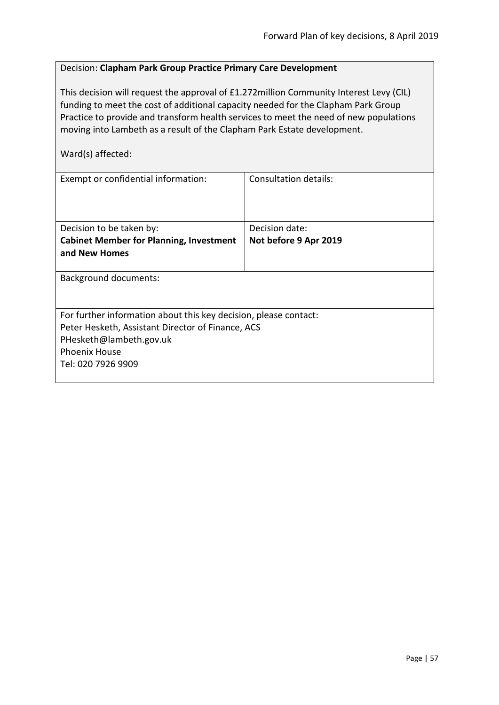### Decision: **Clapham Park Group Practice Primary Care Development**

This decision will request the approval of £1.272million Community Interest Levy (CIL) funding to meet the cost of additional capacity needed for the Clapham Park Group Practice to provide and transform health services to meet the need of new populations moving into Lambeth as a result of the Clapham Park Estate development.

Ward(s) affected:

| Exempt or confidential information:                              | Consultation details: |
|------------------------------------------------------------------|-----------------------|
|                                                                  |                       |
| Decision to be taken by:                                         | Decision date:        |
| <b>Cabinet Member for Planning, Investment</b>                   | Not before 9 Apr 2019 |
| and New Homes                                                    |                       |
| <b>Background documents:</b>                                     |                       |
| For further information about this key decision, please contact: |                       |
| Peter Hesketh, Assistant Director of Finance, ACS                |                       |
| PHesketh@lambeth.gov.uk                                          |                       |
| <b>Phoenix House</b>                                             |                       |
| Tel: 020 7926 9909                                               |                       |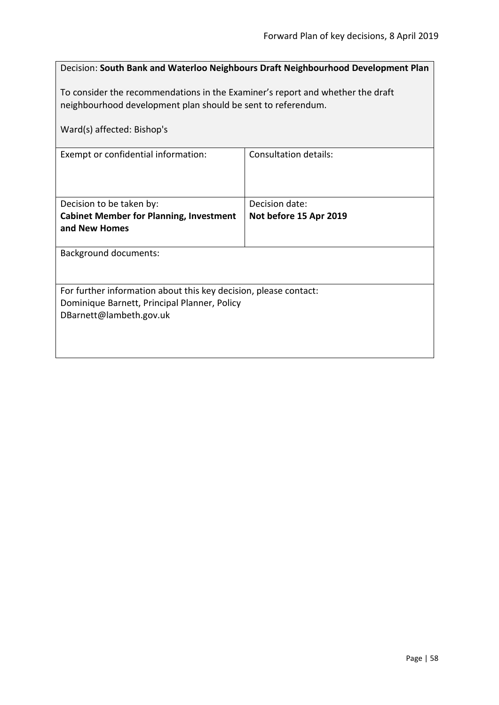|                                                                                                                                                | Decision: South Bank and Waterloo Neighbours Draft Neighbourhood Development Plan |
|------------------------------------------------------------------------------------------------------------------------------------------------|-----------------------------------------------------------------------------------|
| To consider the recommendations in the Examiner's report and whether the draft<br>neighbourhood development plan should be sent to referendum. |                                                                                   |
| Ward(s) affected: Bishop's                                                                                                                     |                                                                                   |
| Exempt or confidential information:                                                                                                            | <b>Consultation details:</b>                                                      |
| Decision to be taken by:<br><b>Cabinet Member for Planning, Investment</b><br>and New Homes                                                    | Decision date:<br>Not before 15 Apr 2019                                          |
| <b>Background documents:</b>                                                                                                                   |                                                                                   |
| For further information about this key decision, please contact:<br>Dominique Barnett, Principal Planner, Policy<br>DBarnett@lambeth.gov.uk    |                                                                                   |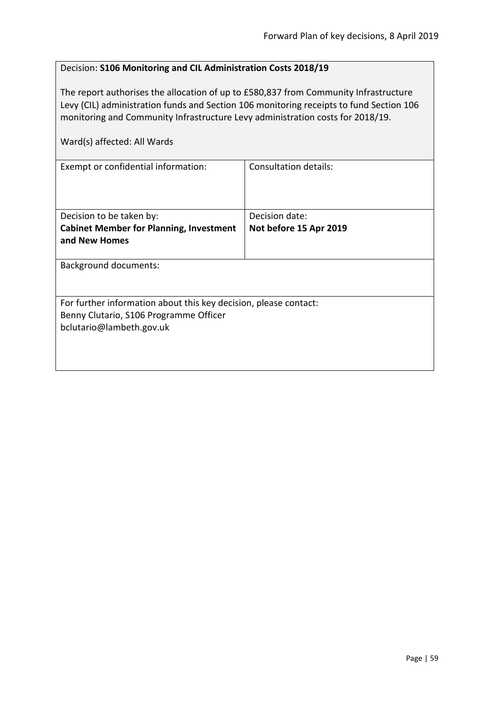## Decision: **S106 Monitoring and CIL Administration Costs 2018/19**

The report authorises the allocation of up to £580,837 from Community Infrastructure Levy (CIL) administration funds and Section 106 monitoring receipts to fund Section 106 monitoring and Community Infrastructure Levy administration costs for 2018/19.

| Ward(s) affected: All Wards                                      |                              |
|------------------------------------------------------------------|------------------------------|
| Exempt or confidential information:                              | <b>Consultation details:</b> |
| Decision to be taken by:                                         | Decision date:               |
| <b>Cabinet Member for Planning, Investment</b>                   | Not before 15 Apr 2019       |
| and New Homes                                                    |                              |
| <b>Background documents:</b>                                     |                              |
| For further information about this key decision, please contact: |                              |
| Benny Clutario, S106 Programme Officer                           |                              |
| bclutario@lambeth.gov.uk                                         |                              |
|                                                                  |                              |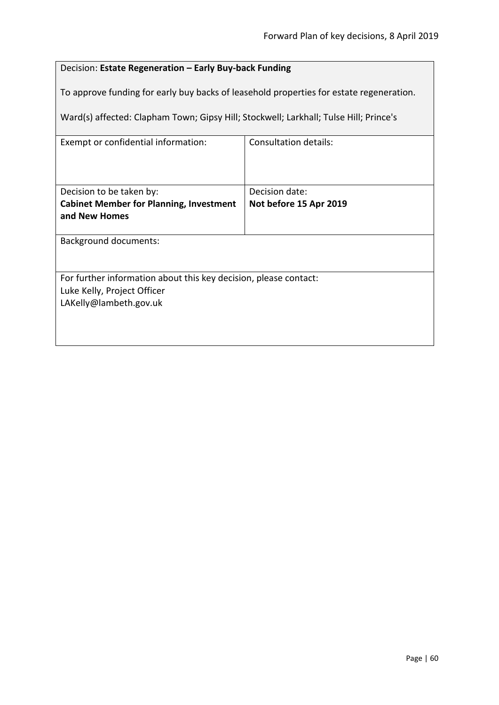# Decision: **Estate Regeneration – Early Buy-back Funding**

To approve funding for early buy backs of leasehold properties for estate regeneration.

Ward(s) affected: Clapham Town; Gipsy Hill; Stockwell; Larkhall; Tulse Hill; Prince's

| Exempt or confidential information:                              | Consultation details:  |
|------------------------------------------------------------------|------------------------|
|                                                                  |                        |
|                                                                  |                        |
|                                                                  |                        |
| Decision to be taken by:                                         | Decision date:         |
| <b>Cabinet Member for Planning, Investment</b>                   | Not before 15 Apr 2019 |
| and New Homes                                                    |                        |
|                                                                  |                        |
| <b>Background documents:</b>                                     |                        |
|                                                                  |                        |
|                                                                  |                        |
| For further information about this key decision, please contact: |                        |
| Luke Kelly, Project Officer                                      |                        |
| LAKelly@lambeth.gov.uk                                           |                        |
|                                                                  |                        |
|                                                                  |                        |
|                                                                  |                        |
|                                                                  |                        |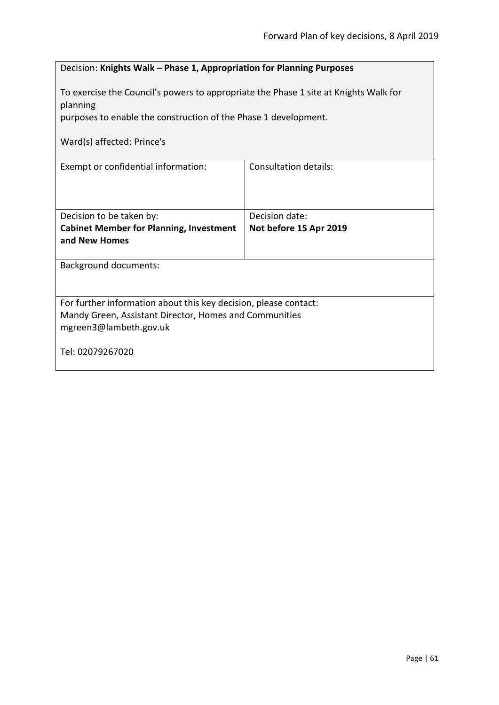| Decision: Knights Walk - Phase 1, Appropriation for Planning Purposes                                                                                                    |                        |  |
|--------------------------------------------------------------------------------------------------------------------------------------------------------------------------|------------------------|--|
| To exercise the Council's powers to appropriate the Phase 1 site at Knights Walk for<br>planning                                                                         |                        |  |
| purposes to enable the construction of the Phase 1 development.                                                                                                          |                        |  |
| Ward(s) affected: Prince's                                                                                                                                               |                        |  |
| <b>Consultation details:</b><br>Exempt or confidential information:                                                                                                      |                        |  |
| Decision to be taken by:                                                                                                                                                 | Decision date:         |  |
| <b>Cabinet Member for Planning, Investment</b><br>and New Homes                                                                                                          | Not before 15 Apr 2019 |  |
| <b>Background documents:</b>                                                                                                                                             |                        |  |
| For further information about this key decision, please contact:<br>Mandy Green, Assistant Director, Homes and Communities<br>mgreen3@lambeth.gov.uk<br>Tel: 02079267020 |                        |  |
|                                                                                                                                                                          |                        |  |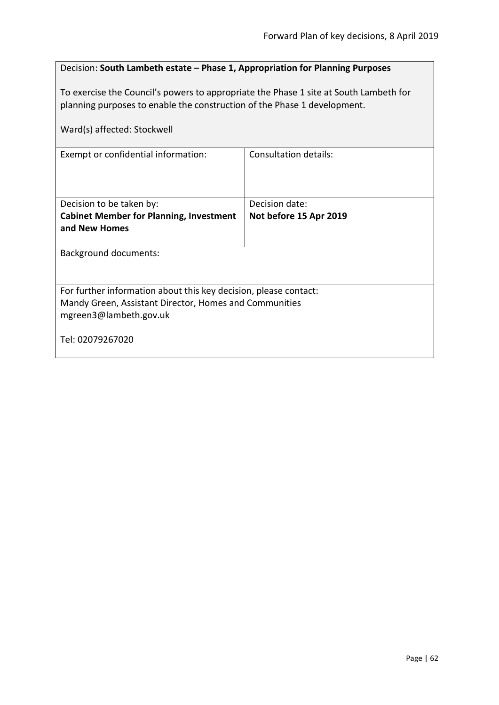## Decision: **South Lambeth estate – Phase 1, Appropriation for Planning Purposes**

To exercise the Council's powers to appropriate the Phase 1 site at South Lambeth for planning purposes to enable the construction of the Phase 1 development.

| Ward(s) affected: Stockwell                                                                                                                          |                        |  |
|------------------------------------------------------------------------------------------------------------------------------------------------------|------------------------|--|
| Exempt or confidential information:                                                                                                                  | Consultation details:  |  |
| Decision to be taken by:                                                                                                                             | Decision date:         |  |
| <b>Cabinet Member for Planning, Investment</b>                                                                                                       | Not before 15 Apr 2019 |  |
| and New Homes                                                                                                                                        |                        |  |
| <b>Background documents:</b>                                                                                                                         |                        |  |
| For further information about this key decision, please contact:<br>Mandy Green, Assistant Director, Homes and Communities<br>mgreen3@lambeth.gov.uk |                        |  |
| Tel: 02079267020                                                                                                                                     |                        |  |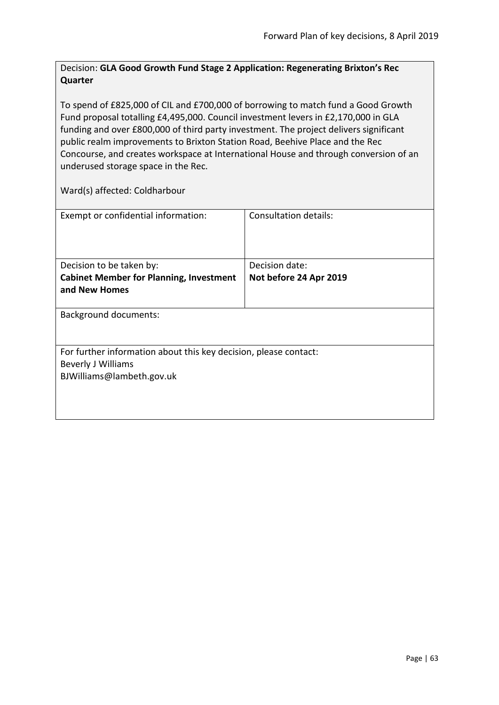## Decision: **GLA Good Growth Fund Stage 2 Application: Regenerating Brixton's Rec Quarter**

To spend of £825,000 of CIL and £700,000 of borrowing to match fund a Good Growth Fund proposal totalling £4,495,000. Council investment levers in £2,170,000 in GLA funding and over £800,000 of third party investment. The project delivers significant public realm improvements to Brixton Station Road, Beehive Place and the Rec Concourse, and creates workspace at International House and through conversion of an underused storage space in the Rec.

Ward(s) affected: Coldharbour

| Exempt or confidential information:                              | Consultation details:  |
|------------------------------------------------------------------|------------------------|
|                                                                  |                        |
|                                                                  |                        |
|                                                                  |                        |
|                                                                  |                        |
| Decision to be taken by:                                         | Decision date:         |
| <b>Cabinet Member for Planning, Investment</b>                   | Not before 24 Apr 2019 |
| and New Homes                                                    |                        |
|                                                                  |                        |
| <b>Background documents:</b>                                     |                        |
|                                                                  |                        |
|                                                                  |                        |
| For further information about this key decision, please contact: |                        |
| <b>Beverly J Williams</b>                                        |                        |
|                                                                  |                        |
| BJWilliams@lambeth.gov.uk                                        |                        |
|                                                                  |                        |
|                                                                  |                        |
|                                                                  |                        |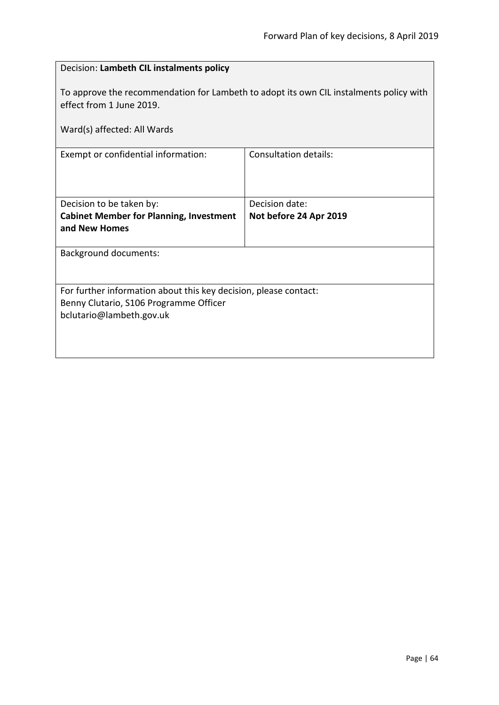| Decision: Lambeth CIL instalments policy                                                                           |                              |  |
|--------------------------------------------------------------------------------------------------------------------|------------------------------|--|
| To approve the recommendation for Lambeth to adopt its own CIL instalments policy with<br>effect from 1 June 2019. |                              |  |
| Ward(s) affected: All Wards                                                                                        |                              |  |
| Exempt or confidential information:                                                                                | <b>Consultation details:</b> |  |
|                                                                                                                    |                              |  |
| Decision to be taken by:                                                                                           | Decision date:               |  |
| <b>Cabinet Member for Planning, Investment</b><br>and New Homes                                                    | Not before 24 Apr 2019       |  |
| <b>Background documents:</b>                                                                                       |                              |  |
| For further information about this key decision, please contact:<br>Benny Clutario, S106 Programme Officer         |                              |  |
| bclutario@lambeth.gov.uk                                                                                           |                              |  |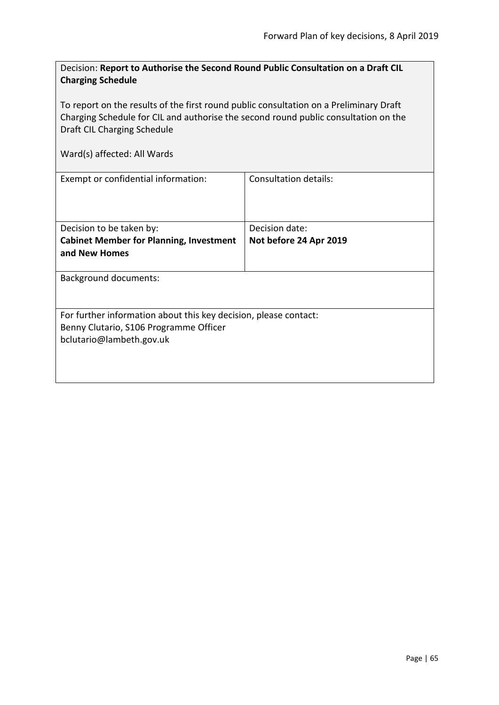| Decision: Report to Authorise the Second Round Public Consultation on a Draft CIL |
|-----------------------------------------------------------------------------------|
| <b>Charging Schedule</b>                                                          |

To report on the results of the first round public consultation on a Preliminary Draft Charging Schedule for CIL and authorise the second round public consultation on the Draft CIL Charging Schedule

| Exempt or confidential information:                                                                                                    | Consultation details:  |
|----------------------------------------------------------------------------------------------------------------------------------------|------------------------|
| Decision to be taken by:                                                                                                               | Decision date:         |
| <b>Cabinet Member for Planning, Investment</b><br>and New Homes                                                                        | Not before 24 Apr 2019 |
| <b>Background documents:</b>                                                                                                           |                        |
| For further information about this key decision, please contact:<br>Benny Clutario, S106 Programme Officer<br>bclutario@lambeth.gov.uk |                        |
|                                                                                                                                        |                        |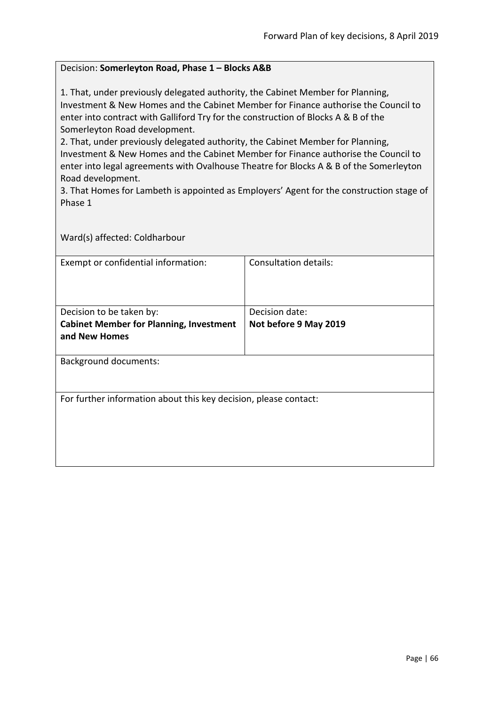#### Decision: **Somerleyton Road, Phase 1 – Blocks A&B**

1. That, under previously delegated authority, the Cabinet Member for Planning, Investment & New Homes and the Cabinet Member for Finance authorise the Council to enter into contract with Galliford Try for the construction of Blocks A & B of the Somerleyton Road development.

2. That, under previously delegated authority, the Cabinet Member for Planning, Investment & New Homes and the Cabinet Member for Finance authorise the Council to enter into legal agreements with Ovalhouse Theatre for Blocks A & B of the Somerleyton Road development.

3. That Homes for Lambeth is appointed as Employers' Agent for the construction stage of Phase 1

Ward(s) affected: Coldharbour

| Exempt or confidential information:                              | Consultation details: |  |
|------------------------------------------------------------------|-----------------------|--|
|                                                                  |                       |  |
| Decision to be taken by:                                         | Decision date:        |  |
| <b>Cabinet Member for Planning, Investment</b>                   | Not before 9 May 2019 |  |
| and New Homes                                                    |                       |  |
|                                                                  |                       |  |
| <b>Background documents:</b>                                     |                       |  |
|                                                                  |                       |  |
|                                                                  |                       |  |
| For further information about this key decision, please contact: |                       |  |
|                                                                  |                       |  |
|                                                                  |                       |  |
|                                                                  |                       |  |
|                                                                  |                       |  |
|                                                                  |                       |  |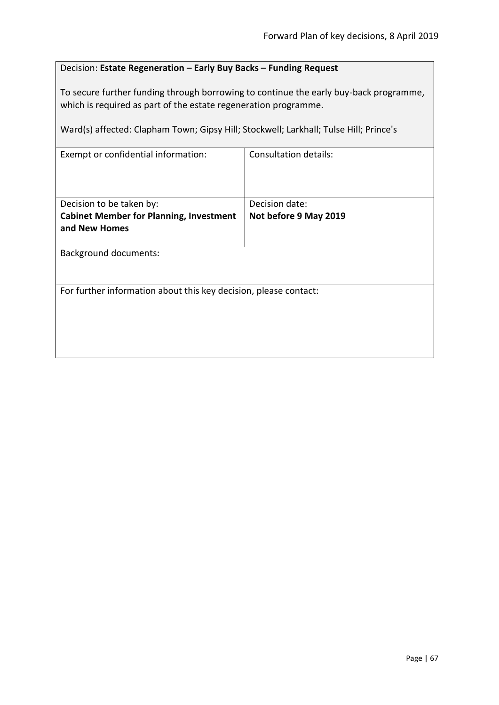## Decision: **Estate Regeneration – Early Buy Backs – Funding Request**

To secure further funding through borrowing to continue the early buy-back programme, which is required as part of the estate regeneration programme.

Ward(s) affected: Clapham Town; Gipsy Hill; Stockwell; Larkhall; Tulse Hill; Prince's

| Exempt or confidential information:                              | <b>Consultation details:</b> |
|------------------------------------------------------------------|------------------------------|
| Decision to be taken by:                                         | Decision date:               |
| <b>Cabinet Member for Planning, Investment</b><br>and New Homes  | Not before 9 May 2019        |
|                                                                  |                              |
| <b>Background documents:</b>                                     |                              |
|                                                                  |                              |
| For further information about this key decision, please contact: |                              |
|                                                                  |                              |
|                                                                  |                              |
|                                                                  |                              |
|                                                                  |                              |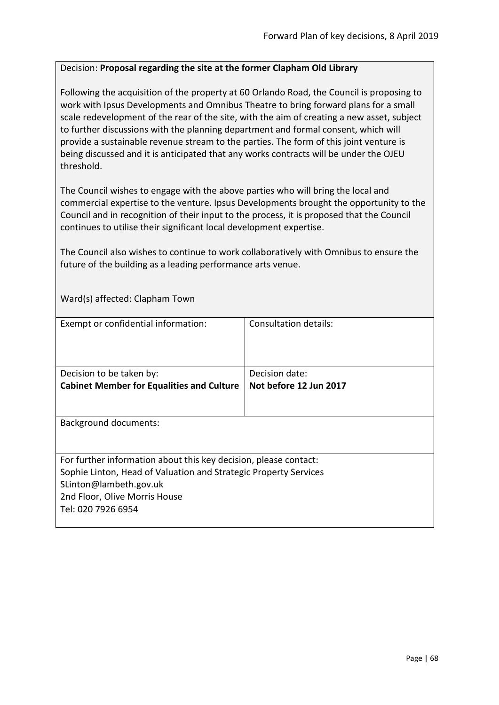### Decision: **Proposal regarding the site at the former Clapham Old Library**

Following the acquisition of the property at 60 Orlando Road, the Council is proposing to work with Ipsus Developments and Omnibus Theatre to bring forward plans for a small scale redevelopment of the rear of the site, with the aim of creating a new asset, subject to further discussions with the planning department and formal consent, which will provide a sustainable revenue stream to the parties. The form of this joint venture is being discussed and it is anticipated that any works contracts will be under the OJEU threshold.

The Council wishes to engage with the above parties who will bring the local and commercial expertise to the venture. Ipsus Developments brought the opportunity to the Council and in recognition of their input to the process, it is proposed that the Council continues to utilise their significant local development expertise.

The Council also wishes to continue to work collaboratively with Omnibus to ensure the future of the building as a leading performance arts venue.

Ward(s) affected: Clapham Town

| Exempt or confidential information:                              | Consultation details:  |
|------------------------------------------------------------------|------------------------|
|                                                                  |                        |
| Decision to be taken by:                                         | Decision date:         |
| <b>Cabinet Member for Equalities and Culture</b>                 | Not before 12 Jun 2017 |
|                                                                  |                        |
| <b>Background documents:</b>                                     |                        |
| For further information about this key decision, please contact: |                        |
| Sophie Linton, Head of Valuation and Strategic Property Services |                        |
| SLinton@lambeth.gov.uk                                           |                        |
| 2nd Floor, Olive Morris House                                    |                        |
| Tel: 020 7926 6954                                               |                        |
|                                                                  |                        |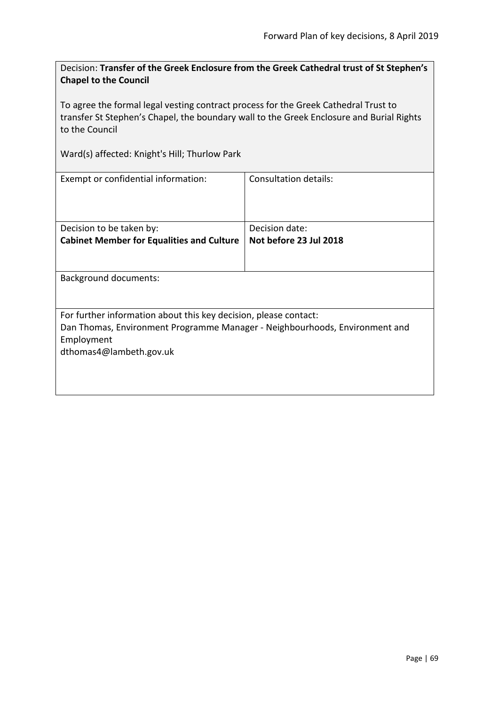Decision: **Transfer of the Greek Enclosure from the Greek Cathedral trust of St Stephen's Chapel to the Council**

To agree the formal legal vesting contract process for the Greek Cathedral Trust to transfer St Stephen's Chapel, the boundary wall to the Greek Enclosure and Burial Rights to the Council

Ward(s) affected: Knight's Hill; Thurlow Park

| Exempt or confidential information:                                         | Consultation details:  |  |
|-----------------------------------------------------------------------------|------------------------|--|
| Decision to be taken by:                                                    | Decision date:         |  |
| <b>Cabinet Member for Equalities and Culture</b>                            | Not before 23 Jul 2018 |  |
| Background documents:                                                       |                        |  |
|                                                                             |                        |  |
| For further information about this key decision, please contact:            |                        |  |
| Dan Thomas, Environment Programme Manager - Neighbourhoods, Environment and |                        |  |
| Employment                                                                  |                        |  |
| dthomas4@lambeth.gov.uk                                                     |                        |  |
|                                                                             |                        |  |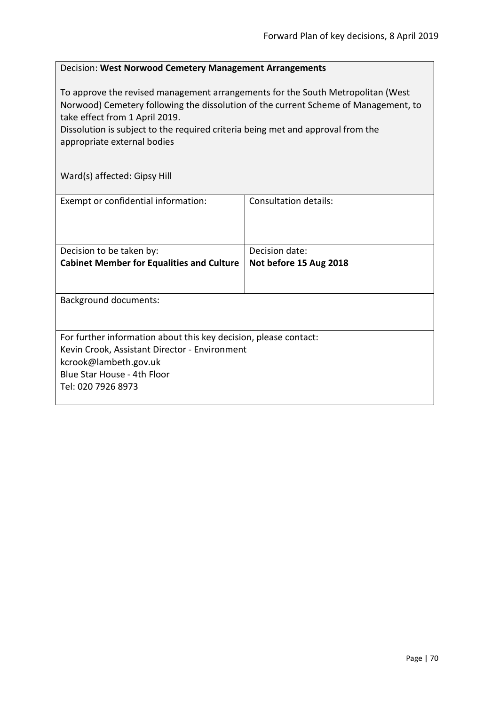#### Decision: **West Norwood Cemetery Management Arrangements**

To approve the revised management arrangements for the South Metropolitan (West Norwood) Cemetery following the dissolution of the current Scheme of Management, to take effect from 1 April 2019.

Dissolution is subject to the required criteria being met and approval from the appropriate external bodies

Ward(s) affected: Gipsy Hill

| Exempt or confidential information:                                                                                                                                                             | Consultation details:                    |
|-------------------------------------------------------------------------------------------------------------------------------------------------------------------------------------------------|------------------------------------------|
| Decision to be taken by:<br><b>Cabinet Member for Equalities and Culture</b>                                                                                                                    | Decision date:<br>Not before 15 Aug 2018 |
| <b>Background documents:</b>                                                                                                                                                                    |                                          |
| For further information about this key decision, please contact:<br>Kevin Crook, Assistant Director - Environment<br>kcrook@lambeth.gov.uk<br>Blue Star House - 4th Floor<br>Tel: 020 7926 8973 |                                          |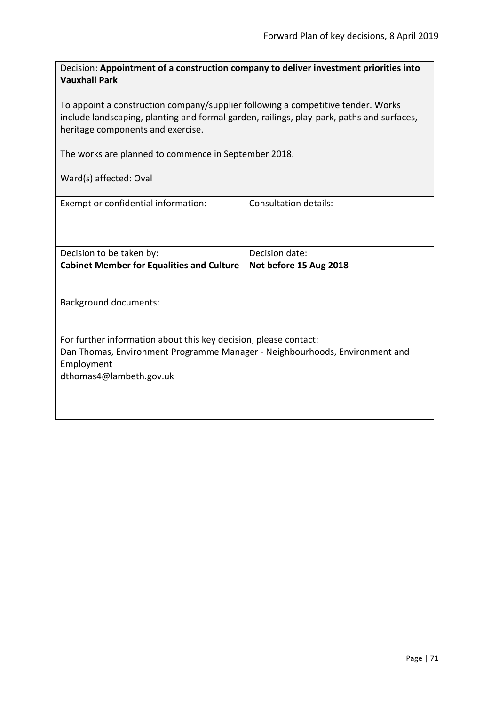Decision: **Appointment of a construction company to deliver investment priorities into Vauxhall Park**

To appoint a construction company/supplier following a competitive tender. Works include landscaping, planting and formal garden, railings, play-park, paths and surfaces, heritage components and exercise.

The works are planned to commence in September 2018.

Ward(s) affected: Oval

| Exempt or confidential information:                                         | Consultation details:  |
|-----------------------------------------------------------------------------|------------------------|
| Decision to be taken by:                                                    | Decision date:         |
| <b>Cabinet Member for Equalities and Culture</b>                            | Not before 15 Aug 2018 |
|                                                                             |                        |
| Background documents:                                                       |                        |
|                                                                             |                        |
| For further information about this key decision, please contact:            |                        |
| Dan Thomas, Environment Programme Manager - Neighbourhoods, Environment and |                        |
| Employment                                                                  |                        |
| dthomas4@lambeth.gov.uk                                                     |                        |
|                                                                             |                        |
|                                                                             |                        |
|                                                                             |                        |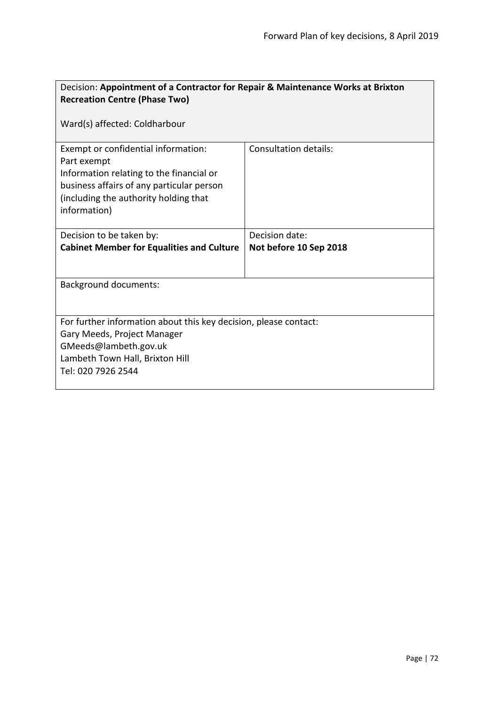| Decision: Appointment of a Contractor for Repair & Maintenance Works at Brixton<br><b>Recreation Centre (Phase Two)</b>                                                                              |                              |
|------------------------------------------------------------------------------------------------------------------------------------------------------------------------------------------------------|------------------------------|
| Ward(s) affected: Coldharbour                                                                                                                                                                        |                              |
| Exempt or confidential information:<br>Part exempt<br>Information relating to the financial or<br>business affairs of any particular person<br>(including the authority holding that<br>information) | <b>Consultation details:</b> |
| Decision to be taken by:                                                                                                                                                                             | Decision date:               |
| <b>Cabinet Member for Equalities and Culture</b>                                                                                                                                                     | Not before 10 Sep 2018       |
|                                                                                                                                                                                                      |                              |
| <b>Background documents:</b>                                                                                                                                                                         |                              |
|                                                                                                                                                                                                      |                              |
| For further information about this key decision, please contact:                                                                                                                                     |                              |
| Gary Meeds, Project Manager                                                                                                                                                                          |                              |
| GMeeds@lambeth.gov.uk                                                                                                                                                                                |                              |
| Lambeth Town Hall, Brixton Hill                                                                                                                                                                      |                              |
| Tel: 020 7926 2544                                                                                                                                                                                   |                              |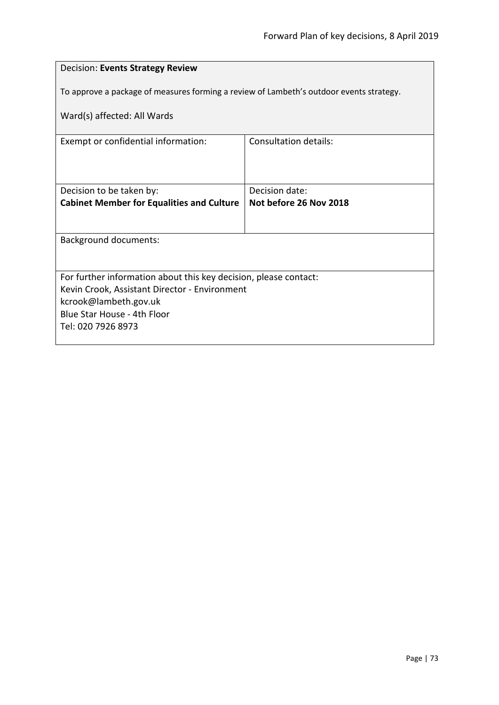| Decision: Events Strategy Review                                                                                  |                              |
|-------------------------------------------------------------------------------------------------------------------|------------------------------|
| To approve a package of measures forming a review of Lambeth's outdoor events strategy.                           |                              |
| Ward(s) affected: All Wards                                                                                       |                              |
|                                                                                                                   |                              |
| Exempt or confidential information:                                                                               | <b>Consultation details:</b> |
|                                                                                                                   |                              |
|                                                                                                                   |                              |
| Decision to be taken by:                                                                                          | Decision date:               |
| <b>Cabinet Member for Equalities and Culture</b>                                                                  | Not before 26 Nov 2018       |
|                                                                                                                   |                              |
| <b>Background documents:</b>                                                                                      |                              |
|                                                                                                                   |                              |
|                                                                                                                   |                              |
| For further information about this key decision, please contact:<br>Kevin Crook, Assistant Director - Environment |                              |
| kcrook@lambeth.gov.uk                                                                                             |                              |
| Blue Star House - 4th Floor                                                                                       |                              |
| Tel: 020 7926 8973                                                                                                |                              |
|                                                                                                                   |                              |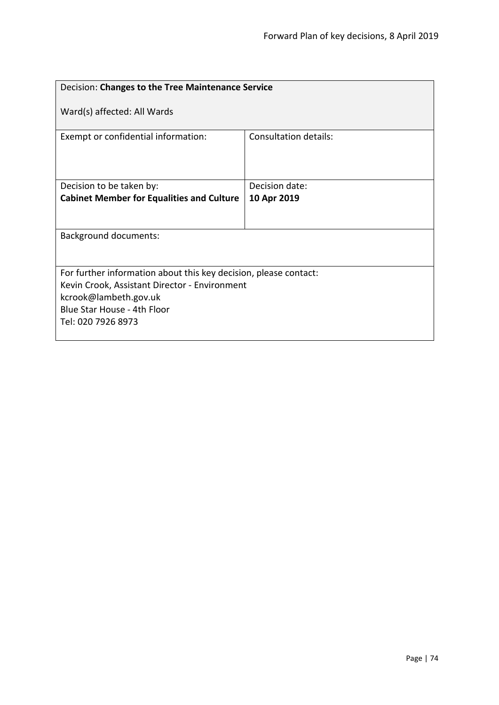| Decision: Changes to the Tree Maintenance Service                                                                                                                                               |                       |
|-------------------------------------------------------------------------------------------------------------------------------------------------------------------------------------------------|-----------------------|
| Ward(s) affected: All Wards                                                                                                                                                                     |                       |
| Exempt or confidential information:                                                                                                                                                             | Consultation details: |
| Decision to be taken by:                                                                                                                                                                        | Decision date:        |
| <b>Cabinet Member for Equalities and Culture</b>                                                                                                                                                | 10 Apr 2019           |
|                                                                                                                                                                                                 |                       |
| <b>Background documents:</b>                                                                                                                                                                    |                       |
| For further information about this key decision, please contact:<br>Kevin Crook, Assistant Director - Environment<br>kcrook@lambeth.gov.uk<br>Blue Star House - 4th Floor<br>Tel: 020 7926 8973 |                       |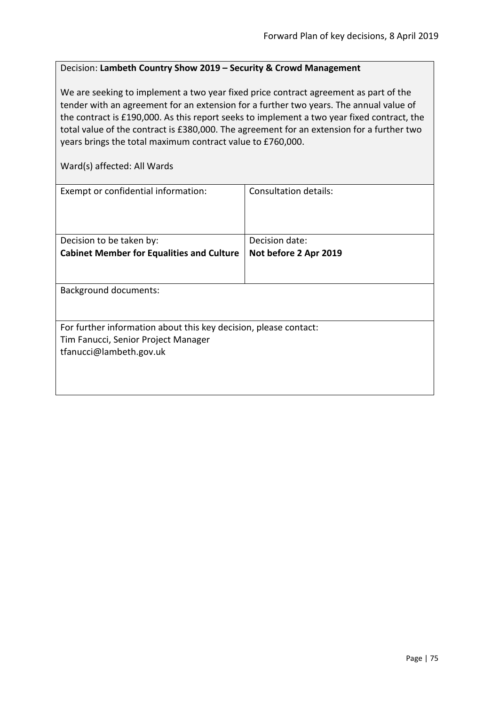## Decision: **Lambeth Country Show 2019 – Security & Crowd Management**

We are seeking to implement a two year fixed price contract agreement as part of the tender with an agreement for an extension for a further two years. The annual value of the contract is £190,000. As this report seeks to implement a two year fixed contract, the total value of the contract is £380,000. The agreement for an extension for a further two years brings the total maximum contract value to £760,000.

Ward(s) affected: All Wards

| Exempt or confidential information:                                                                                                | Consultation details: |
|------------------------------------------------------------------------------------------------------------------------------------|-----------------------|
| Decision to be taken by:                                                                                                           | Decision date:        |
| <b>Cabinet Member for Equalities and Culture</b>                                                                                   | Not before 2 Apr 2019 |
| <b>Background documents:</b>                                                                                                       |                       |
| For further information about this key decision, please contact:<br>Tim Fanucci, Senior Project Manager<br>tfanucci@lambeth.gov.uk |                       |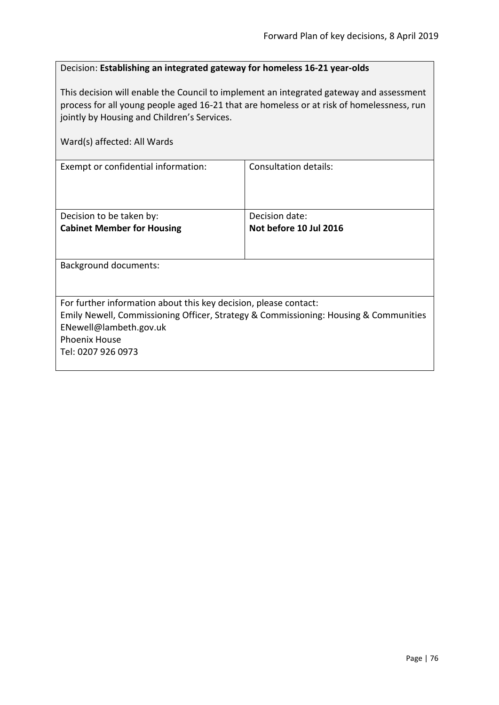## Decision: **Establishing an integrated gateway for homeless 16-21 year-olds**

This decision will enable the Council to implement an integrated gateway and assessment process for all young people aged 16-21 that are homeless or at risk of homelessness, run jointly by Housing and Children's Services.

| Ward(s) affected: All Wards                                                                                                                                                                                                      |                                          |
|----------------------------------------------------------------------------------------------------------------------------------------------------------------------------------------------------------------------------------|------------------------------------------|
| Exempt or confidential information:                                                                                                                                                                                              | Consultation details:                    |
| Decision to be taken by:<br><b>Cabinet Member for Housing</b>                                                                                                                                                                    | Decision date:<br>Not before 10 Jul 2016 |
| Background documents:                                                                                                                                                                                                            |                                          |
| For further information about this key decision, please contact:<br>Emily Newell, Commissioning Officer, Strategy & Commissioning: Housing & Communities<br>ENewell@lambeth.gov.uk<br><b>Phoenix House</b><br>Tel: 0207 926 0973 |                                          |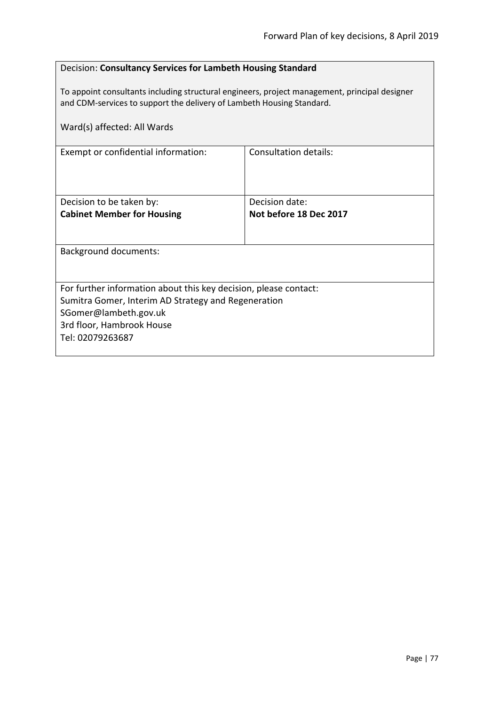## Decision: **Consultancy Services for Lambeth Housing Standard**

To appoint consultants including structural engineers, project management, principal designer and CDM-services to support the delivery of Lambeth Housing Standard.

| Ward(s) affected: All Wards                                                                                                                                                                       |                                          |
|---------------------------------------------------------------------------------------------------------------------------------------------------------------------------------------------------|------------------------------------------|
| Exempt or confidential information:                                                                                                                                                               | Consultation details:                    |
| Decision to be taken by:<br><b>Cabinet Member for Housing</b>                                                                                                                                     | Decision date:<br>Not before 18 Dec 2017 |
| <b>Background documents:</b>                                                                                                                                                                      |                                          |
| For further information about this key decision, please contact:<br>Sumitra Gomer, Interim AD Strategy and Regeneration<br>SGomer@lambeth.gov.uk<br>3rd floor, Hambrook House<br>Tel: 02079263687 |                                          |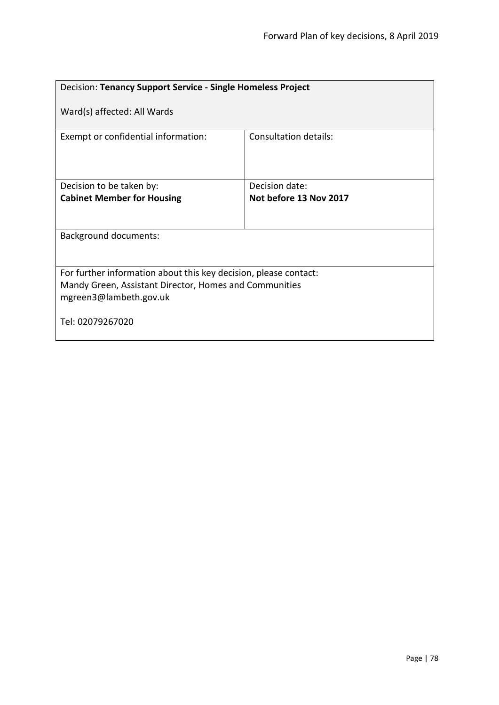| Decision: Tenancy Support Service - Single Homeless Project                                                                                          |                              |
|------------------------------------------------------------------------------------------------------------------------------------------------------|------------------------------|
| Ward(s) affected: All Wards                                                                                                                          |                              |
| Exempt or confidential information:                                                                                                                  | <b>Consultation details:</b> |
| Decision to be taken by:                                                                                                                             | Decision date:               |
| <b>Cabinet Member for Housing</b>                                                                                                                    | Not before 13 Nov 2017       |
| <b>Background documents:</b>                                                                                                                         |                              |
| For further information about this key decision, please contact:<br>Mandy Green, Assistant Director, Homes and Communities<br>mgreen3@lambeth.gov.uk |                              |
| Tel: 02079267020                                                                                                                                     |                              |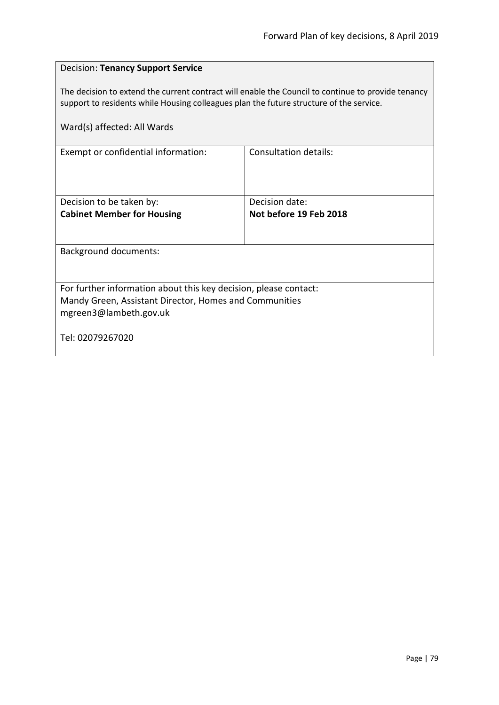| <b>Decision: Tenancy Support Service</b>                                                                                                                                                      |                        |
|-----------------------------------------------------------------------------------------------------------------------------------------------------------------------------------------------|------------------------|
| The decision to extend the current contract will enable the Council to continue to provide tenancy<br>support to residents while Housing colleagues plan the future structure of the service. |                        |
| Ward(s) affected: All Wards                                                                                                                                                                   |                        |
| Exempt or confidential information:                                                                                                                                                           | Consultation details:  |
|                                                                                                                                                                                               |                        |
| Decision to be taken by:                                                                                                                                                                      | Decision date:         |
| <b>Cabinet Member for Housing</b>                                                                                                                                                             | Not before 19 Feb 2018 |
| <b>Background documents:</b>                                                                                                                                                                  |                        |
|                                                                                                                                                                                               |                        |
| For further information about this key decision, please contact:                                                                                                                              |                        |
| Mandy Green, Assistant Director, Homes and Communities<br>mgreen3@lambeth.gov.uk                                                                                                              |                        |
| Tel: 02079267020                                                                                                                                                                              |                        |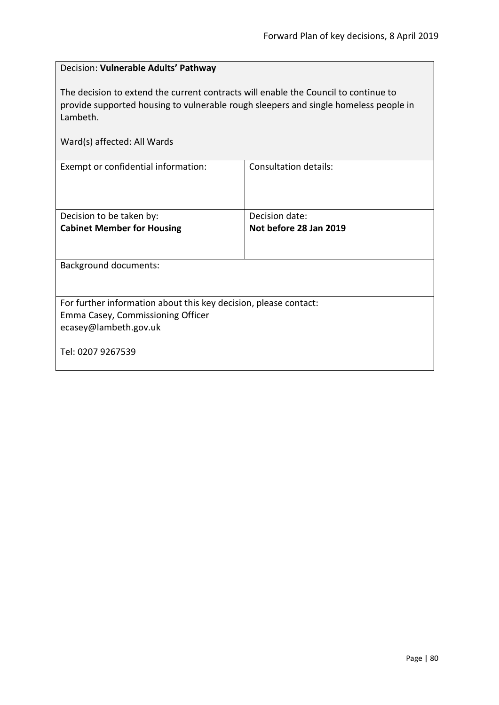| Decision: Vulnerable Adults' Pathway                                                                                                                                                    |                        |
|-----------------------------------------------------------------------------------------------------------------------------------------------------------------------------------------|------------------------|
| The decision to extend the current contracts will enable the Council to continue to<br>provide supported housing to vulnerable rough sleepers and single homeless people in<br>Lambeth. |                        |
| Ward(s) affected: All Wards                                                                                                                                                             |                        |
| Exempt or confidential information:                                                                                                                                                     | Consultation details:  |
| Decision to be taken by:                                                                                                                                                                | Decision date:         |
| <b>Cabinet Member for Housing</b>                                                                                                                                                       | Not before 28 Jan 2019 |
|                                                                                                                                                                                         |                        |
| <b>Background documents:</b>                                                                                                                                                            |                        |
|                                                                                                                                                                                         |                        |
| For further information about this key decision, please contact:                                                                                                                        |                        |
| Emma Casey, Commissioning Officer                                                                                                                                                       |                        |
| ecasey@lambeth.gov.uk                                                                                                                                                                   |                        |
| Tel: 0207 9267539                                                                                                                                                                       |                        |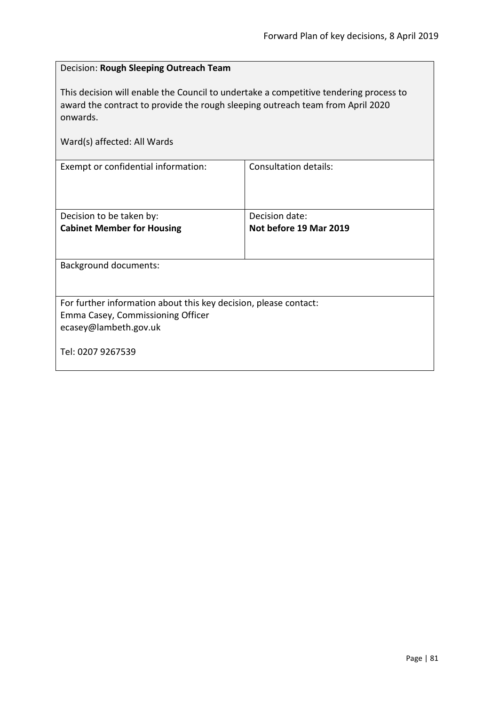| Decision: Rough Sleeping Outreach Team                                                                                                                                                                             |                              |  |
|--------------------------------------------------------------------------------------------------------------------------------------------------------------------------------------------------------------------|------------------------------|--|
| This decision will enable the Council to undertake a competitive tendering process to<br>award the contract to provide the rough sleeping outreach team from April 2020<br>onwards.<br>Ward(s) affected: All Wards |                              |  |
| Exempt or confidential information:                                                                                                                                                                                | <b>Consultation details:</b> |  |
|                                                                                                                                                                                                                    |                              |  |
| Decision to be taken by:                                                                                                                                                                                           | Decision date:               |  |
| <b>Cabinet Member for Housing</b>                                                                                                                                                                                  | Not before 19 Mar 2019       |  |
| <b>Background documents:</b>                                                                                                                                                                                       |                              |  |
|                                                                                                                                                                                                                    |                              |  |
| For further information about this key decision, please contact:                                                                                                                                                   |                              |  |
| Emma Casey, Commissioning Officer                                                                                                                                                                                  |                              |  |
| ecasey@lambeth.gov.uk                                                                                                                                                                                              |                              |  |
| Tel: 0207 9267539                                                                                                                                                                                                  |                              |  |